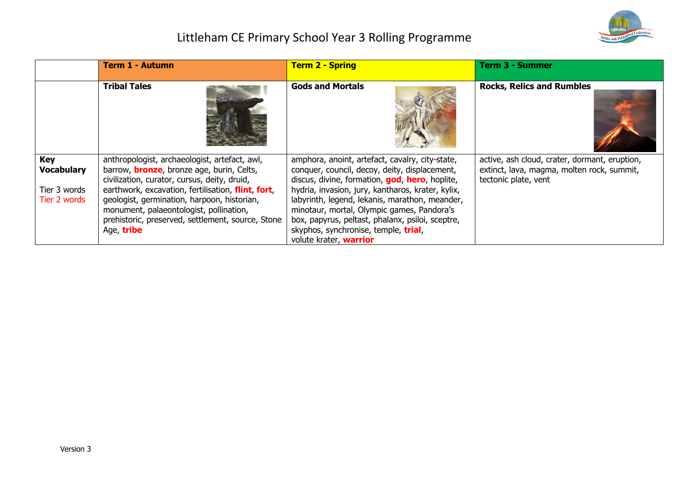

|                                                                 | <b>Term 1 - Autumn</b>                                                                                                                                                                                                                                                                                                                                                | <b>Term 2 - Spring</b>                                                                                                                                                                                                                                                                                                                                                                                                        | <b>Term 3 - Summer</b>                                                                                              |
|-----------------------------------------------------------------|-----------------------------------------------------------------------------------------------------------------------------------------------------------------------------------------------------------------------------------------------------------------------------------------------------------------------------------------------------------------------|-------------------------------------------------------------------------------------------------------------------------------------------------------------------------------------------------------------------------------------------------------------------------------------------------------------------------------------------------------------------------------------------------------------------------------|---------------------------------------------------------------------------------------------------------------------|
|                                                                 | <b>Tribal Tales</b>                                                                                                                                                                                                                                                                                                                                                   | <b>Gods and Mortals</b>                                                                                                                                                                                                                                                                                                                                                                                                       | <b>Rocks, Relics and Rumbles</b>                                                                                    |
| <b>Key</b><br><b>Vocabulary</b><br>Tier 3 words<br>Tier 2 words | anthropologist, archaeologist, artefact, awl,<br>barrow, <b>bronze</b> , bronze age, burin, Celts,<br>civilization, curator, cursus, deity, druid,<br>earthwork, excavation, fertilisation, flint, fort,<br>geologist, germination, harpoon, historian,<br>monument, palaeontologist, pollination,<br>prehistoric, preserved, settlement, source, Stone<br>Age, tribe | amphora, anoint, artefact, cavalry, city-state,<br>conquer, council, decoy, deity, displacement,<br>discus, divine, formation, god, hero, hoplite,<br>hydria, invasion, jury, kantharos, krater, kylix,<br>labyrinth, legend, lekanis, marathon, meander,<br>minotaur, mortal, Olympic games, Pandora's<br>box, papyrus, peltast, phalanx, psiloi, sceptre,<br>skyphos, synchronise, temple, trial,<br>volute krater, warrior | active, ash cloud, crater, dormant, eruption,<br>extinct, lava, magma, molten rock, summit,<br>tectonic plate, vent |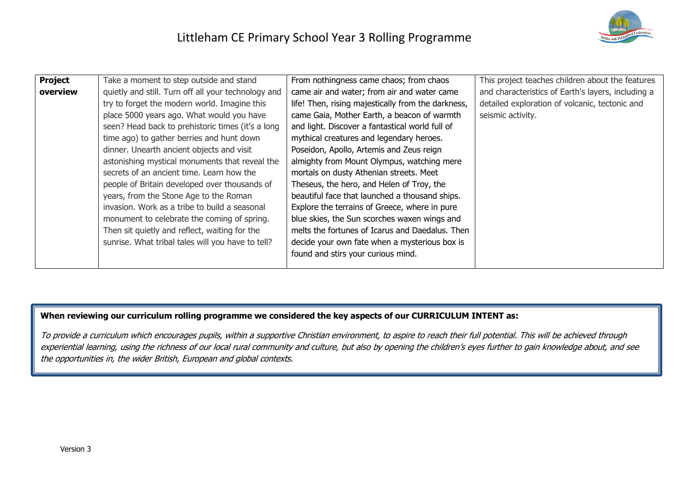

| Project  | Take a moment to step outside and stand             | From nothingness came chaos; from chaos            | This project teaches children about the features   |
|----------|-----------------------------------------------------|----------------------------------------------------|----------------------------------------------------|
| overview | quietly and still. Turn off all your technology and | came air and water; from air and water came        | and characteristics of Earth's layers, including a |
|          | try to forget the modern world. Imagine this        | life! Then, rising majestically from the darkness, | detailed exploration of volcanic, tectonic and     |
|          | place 5000 years ago. What would you have           | came Gaia, Mother Earth, a beacon of warmth        | seismic activity.                                  |
|          | seen? Head back to prehistoric times (it's a long   | and light. Discover a fantastical world full of    |                                                    |
|          | time ago) to gather berries and hunt down           | mythical creatures and legendary heroes.           |                                                    |
|          | dinner. Unearth ancient objects and visit           | Poseidon, Apollo, Artemis and Zeus reign           |                                                    |
|          | astonishing mystical monuments that reveal the      | almighty from Mount Olympus, watching mere         |                                                    |
|          | secrets of an ancient time. Learn how the           | mortals on dusty Athenian streets. Meet            |                                                    |
|          | people of Britain developed over thousands of       | Theseus, the hero, and Helen of Troy, the          |                                                    |
|          | years, from the Stone Age to the Roman              | beautiful face that launched a thousand ships.     |                                                    |
|          | invasion. Work as a tribe to build a seasonal       | Explore the terrains of Greece, where in pure      |                                                    |
|          | monument to celebrate the coming of spring.         | blue skies, the Sun scorches waxen wings and       |                                                    |
|          | Then sit quietly and reflect, waiting for the       | melts the fortunes of Icarus and Daedalus. Then    |                                                    |
|          | sunrise. What tribal tales will you have to tell?   | decide your own fate when a mysterious box is      |                                                    |
|          |                                                     | found and stirs your curious mind.                 |                                                    |
|          |                                                     |                                                    |                                                    |

**When reviewing our curriculum rolling programme we considered the key aspects of our CURRICULUM INTENT as:**

To provide a curriculum which encourages pupils, within a supportive Christian environment, to aspire to reach their full potential. This will be achieved through experiential learning, using the richness of our local rural community and culture, but also by opening the children's eyes further to gain knowledge about, and see the opportunities in, the wider British, European and global contexts.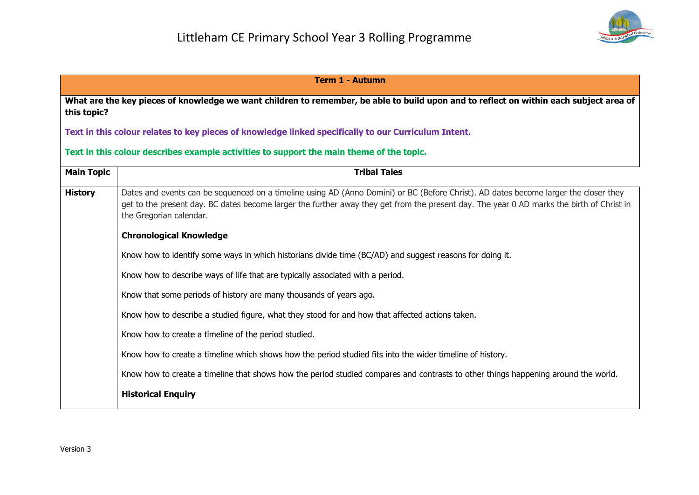

| <b>Term 1 - Autumn</b> |                                                                                                                                                                                                                                                                                                              |  |
|------------------------|--------------------------------------------------------------------------------------------------------------------------------------------------------------------------------------------------------------------------------------------------------------------------------------------------------------|--|
| this topic?            | What are the key pieces of knowledge we want children to remember, be able to build upon and to reflect on within each subject area of                                                                                                                                                                       |  |
|                        | Text in this colour relates to key pieces of knowledge linked specifically to our Curriculum Intent.                                                                                                                                                                                                         |  |
|                        | Text in this colour describes example activities to support the main theme of the topic.                                                                                                                                                                                                                     |  |
| <b>Main Topic</b>      | <b>Tribal Tales</b>                                                                                                                                                                                                                                                                                          |  |
| <b>History</b>         | Dates and events can be sequenced on a timeline using AD (Anno Domini) or BC (Before Christ). AD dates become larger the closer they<br>get to the present day. BC dates become larger the further away they get from the present day. The year 0 AD marks the birth of Christ in<br>the Gregorian calendar. |  |
|                        | <b>Chronological Knowledge</b>                                                                                                                                                                                                                                                                               |  |
|                        | Know how to identify some ways in which historians divide time (BC/AD) and suggest reasons for doing it.                                                                                                                                                                                                     |  |
|                        | Know how to describe ways of life that are typically associated with a period.                                                                                                                                                                                                                               |  |
|                        | Know that some periods of history are many thousands of years ago.                                                                                                                                                                                                                                           |  |
|                        | Know how to describe a studied figure, what they stood for and how that affected actions taken.                                                                                                                                                                                                              |  |
|                        | Know how to create a timeline of the period studied.                                                                                                                                                                                                                                                         |  |
|                        | Know how to create a timeline which shows how the period studied fits into the wider timeline of history.                                                                                                                                                                                                    |  |
|                        | Know how to create a timeline that shows how the period studied compares and contrasts to other things happening around the world.                                                                                                                                                                           |  |
|                        | <b>Historical Enquiry</b>                                                                                                                                                                                                                                                                                    |  |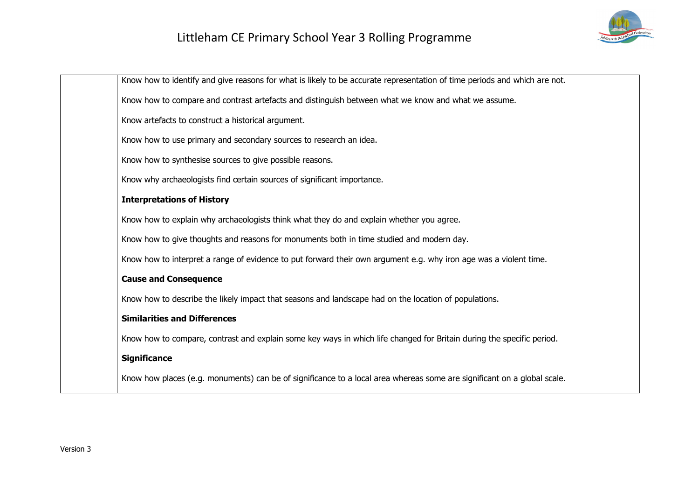

| Know how to identify and give reasons for what is likely to be accurate representation of time periods and which are not. |
|---------------------------------------------------------------------------------------------------------------------------|
| Know how to compare and contrast artefacts and distinguish between what we know and what we assume.                       |
| Know artefacts to construct a historical argument.                                                                        |
| Know how to use primary and secondary sources to research an idea.                                                        |
| Know how to synthesise sources to give possible reasons.                                                                  |
| Know why archaeologists find certain sources of significant importance.                                                   |
| <b>Interpretations of History</b>                                                                                         |
| Know how to explain why archaeologists think what they do and explain whether you agree.                                  |
| Know how to give thoughts and reasons for monuments both in time studied and modern day.                                  |
| Know how to interpret a range of evidence to put forward their own argument e.g. why iron age was a violent time.         |
| <b>Cause and Consequence</b>                                                                                              |
| Know how to describe the likely impact that seasons and landscape had on the location of populations.                     |
| <b>Similarities and Differences</b>                                                                                       |
| Know how to compare, contrast and explain some key ways in which life changed for Britain during the specific period.     |
| <b>Significance</b>                                                                                                       |
| Know how places (e.g. monuments) can be of significance to a local area whereas some are significant on a global scale.   |
|                                                                                                                           |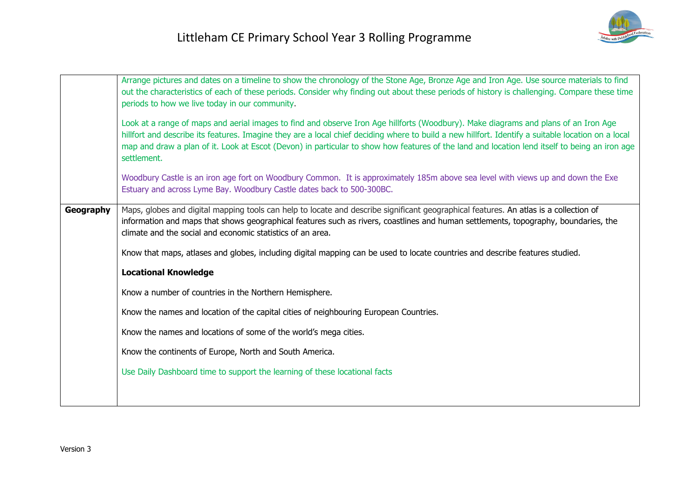|           | Arrange pictures and dates on a timeline to show the chronology of the Stone Age, Bronze Age and Iron Age. Use source materials to find<br>out the characteristics of each of these periods. Consider why finding out about these periods of history is challenging. Compare these time<br>periods to how we live today in our community.<br>Look at a range of maps and aerial images to find and observe Iron Age hillforts (Woodbury). Make diagrams and plans of an Iron Age<br>hillfort and describe its features. Imagine they are a local chief deciding where to build a new hillfort. Identify a suitable location on a local<br>map and draw a plan of it. Look at Escot (Devon) in particular to show how features of the land and location lend itself to being an iron age<br>settlement.<br>Woodbury Castle is an iron age fort on Woodbury Common. It is approximately 185m above sea level with views up and down the Exe<br>Estuary and across Lyme Bay. Woodbury Castle dates back to 500-300BC. |
|-----------|--------------------------------------------------------------------------------------------------------------------------------------------------------------------------------------------------------------------------------------------------------------------------------------------------------------------------------------------------------------------------------------------------------------------------------------------------------------------------------------------------------------------------------------------------------------------------------------------------------------------------------------------------------------------------------------------------------------------------------------------------------------------------------------------------------------------------------------------------------------------------------------------------------------------------------------------------------------------------------------------------------------------|
| Geography | Maps, globes and digital mapping tools can help to locate and describe significant geographical features. An atlas is a collection of<br>information and maps that shows geographical features such as rivers, coastlines and human settlements, topography, boundaries, the<br>climate and the social and economic statistics of an area.<br>Know that maps, atlases and globes, including digital mapping can be used to locate countries and describe features studied.<br><b>Locational Knowledge</b><br>Know a number of countries in the Northern Hemisphere.<br>Know the names and location of the capital cities of neighbouring European Countries.<br>Know the names and locations of some of the world's mega cities.<br>Know the continents of Europe, North and South America.<br>Use Daily Dashboard time to support the learning of these locational facts                                                                                                                                          |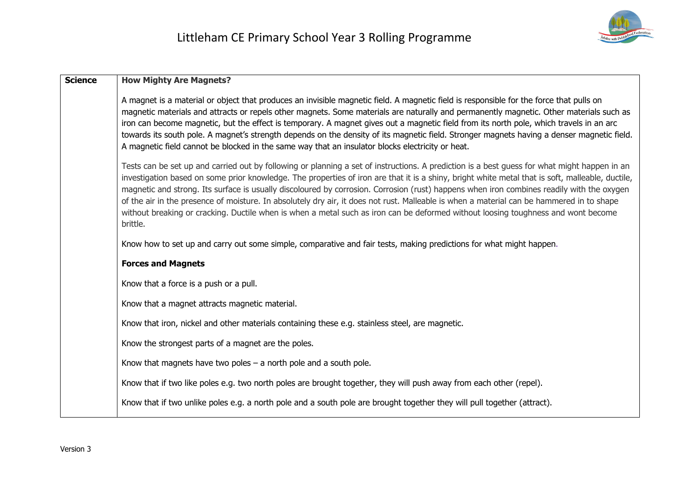

| <b>Science</b> | <b>How Mighty Are Magnets?</b>                                                                                                                                                                                                                                                                                                                                                                                                                                                                                                                                                                                                                                                                                                              |  |
|----------------|---------------------------------------------------------------------------------------------------------------------------------------------------------------------------------------------------------------------------------------------------------------------------------------------------------------------------------------------------------------------------------------------------------------------------------------------------------------------------------------------------------------------------------------------------------------------------------------------------------------------------------------------------------------------------------------------------------------------------------------------|--|
|                | A magnet is a material or object that produces an invisible magnetic field. A magnetic field is responsible for the force that pulls on<br>magnetic materials and attracts or repels other magnets. Some materials are naturally and permanently magnetic. Other materials such as<br>iron can become magnetic, but the effect is temporary. A magnet gives out a magnetic field from its north pole, which travels in an arc<br>towards its south pole. A magnet's strength depends on the density of its magnetic field. Stronger magnets having a denser magnetic field.<br>A magnetic field cannot be blocked in the same way that an insulator blocks electricity or heat.                                                             |  |
|                | Tests can be set up and carried out by following or planning a set of instructions. A prediction is a best guess for what might happen in an<br>investigation based on some prior knowledge. The properties of iron are that it is a shiny, bright white metal that is soft, malleable, ductile,<br>magnetic and strong. Its surface is usually discoloured by corrosion. Corrosion (rust) happens when iron combines readily with the oxygen<br>of the air in the presence of moisture. In absolutely dry air, it does not rust. Malleable is when a material can be hammered in to shape<br>without breaking or cracking. Ductile when is when a metal such as iron can be deformed without loosing toughness and wont become<br>brittle. |  |
|                | Know how to set up and carry out some simple, comparative and fair tests, making predictions for what might happen.                                                                                                                                                                                                                                                                                                                                                                                                                                                                                                                                                                                                                         |  |
|                | <b>Forces and Magnets</b>                                                                                                                                                                                                                                                                                                                                                                                                                                                                                                                                                                                                                                                                                                                   |  |
|                | Know that a force is a push or a pull.                                                                                                                                                                                                                                                                                                                                                                                                                                                                                                                                                                                                                                                                                                      |  |
|                | Know that a magnet attracts magnetic material.                                                                                                                                                                                                                                                                                                                                                                                                                                                                                                                                                                                                                                                                                              |  |
|                | Know that iron, nickel and other materials containing these e.g. stainless steel, are magnetic.                                                                                                                                                                                                                                                                                                                                                                                                                                                                                                                                                                                                                                             |  |
|                | Know the strongest parts of a magnet are the poles.                                                                                                                                                                                                                                                                                                                                                                                                                                                                                                                                                                                                                                                                                         |  |
|                | Know that magnets have two poles $-$ a north pole and a south pole.                                                                                                                                                                                                                                                                                                                                                                                                                                                                                                                                                                                                                                                                         |  |
|                | Know that if two like poles e.g. two north poles are brought together, they will push away from each other (repel).                                                                                                                                                                                                                                                                                                                                                                                                                                                                                                                                                                                                                         |  |
|                | Know that if two unlike poles e.g. a north pole and a south pole are brought together they will pull together (attract).                                                                                                                                                                                                                                                                                                                                                                                                                                                                                                                                                                                                                    |  |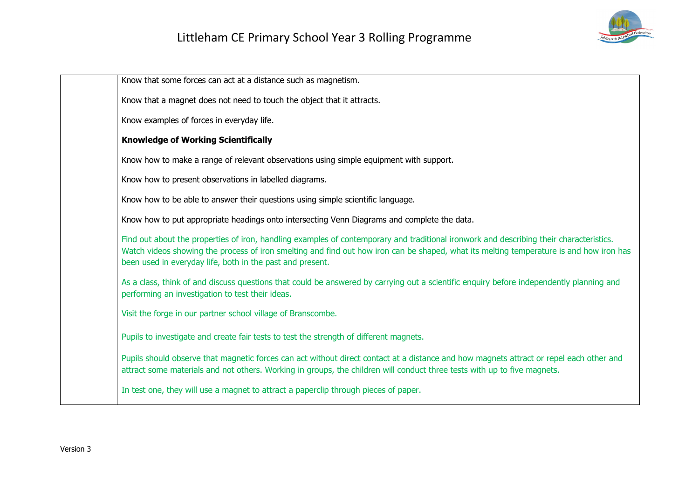

| Know that some forces can act at a distance such as magnetism.                                                                                                                                                                                                                                                                                  |
|-------------------------------------------------------------------------------------------------------------------------------------------------------------------------------------------------------------------------------------------------------------------------------------------------------------------------------------------------|
| Know that a magnet does not need to touch the object that it attracts.                                                                                                                                                                                                                                                                          |
| Know examples of forces in everyday life.                                                                                                                                                                                                                                                                                                       |
| <b>Knowledge of Working Scientifically</b>                                                                                                                                                                                                                                                                                                      |
| Know how to make a range of relevant observations using simple equipment with support.                                                                                                                                                                                                                                                          |
| Know how to present observations in labelled diagrams.                                                                                                                                                                                                                                                                                          |
| Know how to be able to answer their questions using simple scientific language.                                                                                                                                                                                                                                                                 |
| Know how to put appropriate headings onto intersecting Venn Diagrams and complete the data.                                                                                                                                                                                                                                                     |
| Find out about the properties of iron, handling examples of contemporary and traditional ironwork and describing their characteristics.<br>Watch videos showing the process of iron smelting and find out how iron can be shaped, what its melting temperature is and how iron has<br>been used in everyday life, both in the past and present. |
| As a class, think of and discuss questions that could be answered by carrying out a scientific enquiry before independently planning and<br>performing an investigation to test their ideas.                                                                                                                                                    |
| Visit the forge in our partner school village of Branscombe.                                                                                                                                                                                                                                                                                    |
| Pupils to investigate and create fair tests to test the strength of different magnets.                                                                                                                                                                                                                                                          |
| Pupils should observe that magnetic forces can act without direct contact at a distance and how magnets attract or repel each other and<br>attract some materials and not others. Working in groups, the children will conduct three tests with up to five magnets.                                                                             |
| In test one, they will use a magnet to attract a paperclip through pieces of paper.                                                                                                                                                                                                                                                             |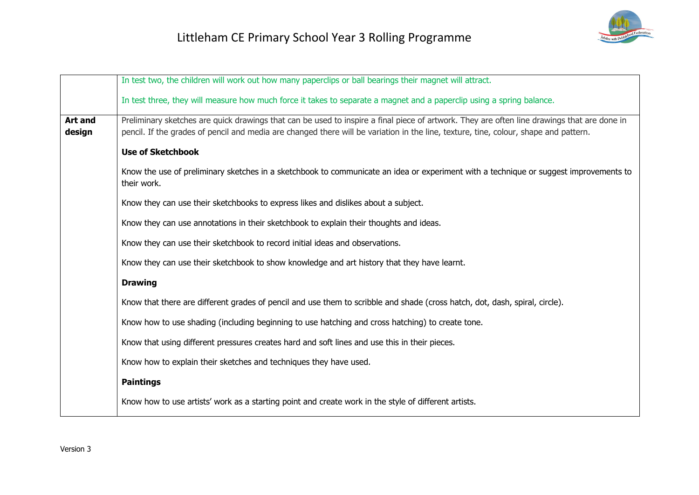|                          | In test two, the children will work out how many paperclips or ball bearings their magnet will attract.                                                                                                                                                                             |  |
|--------------------------|-------------------------------------------------------------------------------------------------------------------------------------------------------------------------------------------------------------------------------------------------------------------------------------|--|
|                          | In test three, they will measure how much force it takes to separate a magnet and a paperclip using a spring balance.                                                                                                                                                               |  |
| <b>Art and</b><br>design | Preliminary sketches are quick drawings that can be used to inspire a final piece of artwork. They are often line drawings that are done in<br>pencil. If the grades of pencil and media are changed there will be variation in the line, texture, tine, colour, shape and pattern. |  |
|                          | <b>Use of Sketchbook</b>                                                                                                                                                                                                                                                            |  |
|                          | Know the use of preliminary sketches in a sketchbook to communicate an idea or experiment with a technique or suggest improvements to<br>their work.                                                                                                                                |  |
|                          | Know they can use their sketchbooks to express likes and dislikes about a subject.                                                                                                                                                                                                  |  |
|                          | Know they can use annotations in their sketchbook to explain their thoughts and ideas.                                                                                                                                                                                              |  |
|                          | Know they can use their sketchbook to record initial ideas and observations.                                                                                                                                                                                                        |  |
|                          | Know they can use their sketchbook to show knowledge and art history that they have learnt.                                                                                                                                                                                         |  |
|                          | <b>Drawing</b>                                                                                                                                                                                                                                                                      |  |
|                          | Know that there are different grades of pencil and use them to scribble and shade (cross hatch, dot, dash, spiral, circle).                                                                                                                                                         |  |
|                          | Know how to use shading (including beginning to use hatching and cross hatching) to create tone.                                                                                                                                                                                    |  |
|                          | Know that using different pressures creates hard and soft lines and use this in their pieces.                                                                                                                                                                                       |  |
|                          | Know how to explain their sketches and techniques they have used.                                                                                                                                                                                                                   |  |
|                          | <b>Paintings</b>                                                                                                                                                                                                                                                                    |  |
|                          | Know how to use artists' work as a starting point and create work in the style of different artists.                                                                                                                                                                                |  |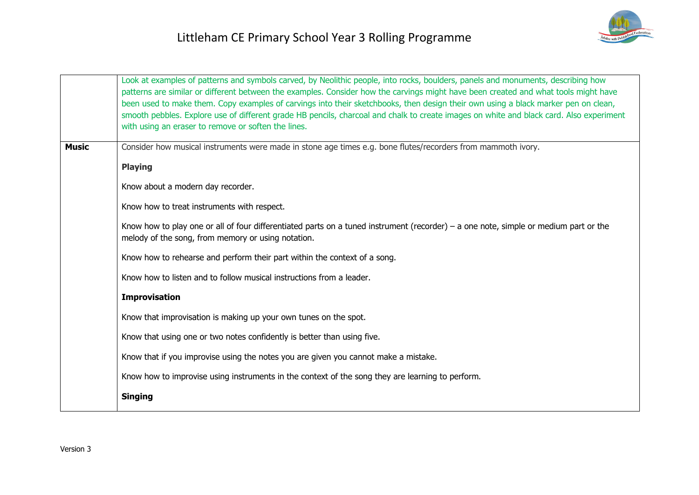|              | Look at examples of patterns and symbols carved, by Neolithic people, into rocks, boulders, panels and monuments, describing how<br>patterns are similar or different between the examples. Consider how the carvings might have been created and what tools might have<br>been used to make them. Copy examples of carvings into their sketchbooks, then design their own using a black marker pen on clean,<br>smooth pebbles. Explore use of different grade HB pencils, charcoal and chalk to create images on white and black card. Also experiment<br>with using an eraser to remove or soften the lines. |  |
|--------------|-----------------------------------------------------------------------------------------------------------------------------------------------------------------------------------------------------------------------------------------------------------------------------------------------------------------------------------------------------------------------------------------------------------------------------------------------------------------------------------------------------------------------------------------------------------------------------------------------------------------|--|
| <b>Music</b> | Consider how musical instruments were made in stone age times e.g. bone flutes/recorders from mammoth ivory.                                                                                                                                                                                                                                                                                                                                                                                                                                                                                                    |  |
|              |                                                                                                                                                                                                                                                                                                                                                                                                                                                                                                                                                                                                                 |  |
|              | <b>Playing</b>                                                                                                                                                                                                                                                                                                                                                                                                                                                                                                                                                                                                  |  |
|              | Know about a modern day recorder.                                                                                                                                                                                                                                                                                                                                                                                                                                                                                                                                                                               |  |
|              | Know how to treat instruments with respect.                                                                                                                                                                                                                                                                                                                                                                                                                                                                                                                                                                     |  |
|              | Know how to play one or all of four differentiated parts on a tuned instrument (recorder) – a one note, simple or medium part or the<br>melody of the song, from memory or using notation.                                                                                                                                                                                                                                                                                                                                                                                                                      |  |
|              | Know how to rehearse and perform their part within the context of a song.                                                                                                                                                                                                                                                                                                                                                                                                                                                                                                                                       |  |
|              | Know how to listen and to follow musical instructions from a leader.                                                                                                                                                                                                                                                                                                                                                                                                                                                                                                                                            |  |
|              | <b>Improvisation</b>                                                                                                                                                                                                                                                                                                                                                                                                                                                                                                                                                                                            |  |
|              | Know that improvisation is making up your own tunes on the spot.                                                                                                                                                                                                                                                                                                                                                                                                                                                                                                                                                |  |
|              | Know that using one or two notes confidently is better than using five.                                                                                                                                                                                                                                                                                                                                                                                                                                                                                                                                         |  |
|              | Know that if you improvise using the notes you are given you cannot make a mistake.                                                                                                                                                                                                                                                                                                                                                                                                                                                                                                                             |  |
|              | Know how to improvise using instruments in the context of the song they are learning to perform.                                                                                                                                                                                                                                                                                                                                                                                                                                                                                                                |  |
|              | <b>Singing</b>                                                                                                                                                                                                                                                                                                                                                                                                                                                                                                                                                                                                  |  |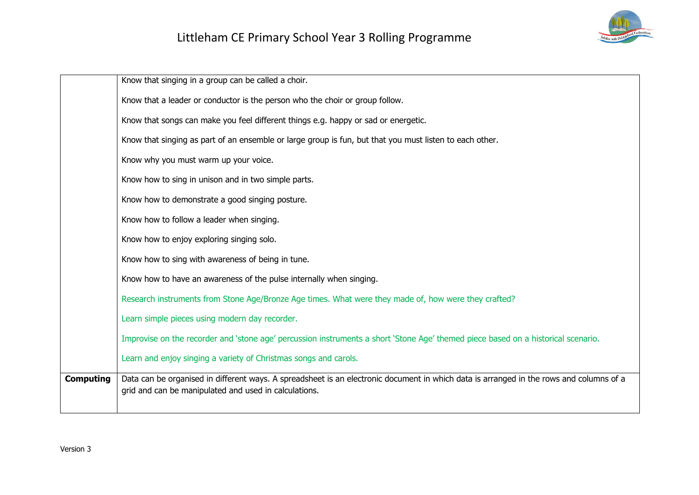

|                  | Know that singing in a group can be called a choir.                                                                                                                                              |
|------------------|--------------------------------------------------------------------------------------------------------------------------------------------------------------------------------------------------|
|                  | Know that a leader or conductor is the person who the choir or group follow.                                                                                                                     |
|                  | Know that songs can make you feel different things e.g. happy or sad or energetic.                                                                                                               |
|                  | Know that singing as part of an ensemble or large group is fun, but that you must listen to each other.                                                                                          |
|                  | Know why you must warm up your voice.                                                                                                                                                            |
|                  | Know how to sing in unison and in two simple parts.                                                                                                                                              |
|                  | Know how to demonstrate a good singing posture.                                                                                                                                                  |
|                  | Know how to follow a leader when singing.                                                                                                                                                        |
|                  | Know how to enjoy exploring singing solo.                                                                                                                                                        |
|                  | Know how to sing with awareness of being in tune.                                                                                                                                                |
|                  | Know how to have an awareness of the pulse internally when singing.                                                                                                                              |
|                  | Research instruments from Stone Age/Bronze Age times. What were they made of, how were they crafted?                                                                                             |
|                  | Learn simple pieces using modern day recorder.                                                                                                                                                   |
|                  | Improvise on the recorder and 'stone age' percussion instruments a short 'Stone Age' themed piece based on a historical scenario.                                                                |
|                  | Learn and enjoy singing a variety of Christmas songs and carols.                                                                                                                                 |
| <b>Computing</b> | Data can be organised in different ways. A spreadsheet is an electronic document in which data is arranged in the rows and columns of a<br>grid and can be manipulated and used in calculations. |
|                  |                                                                                                                                                                                                  |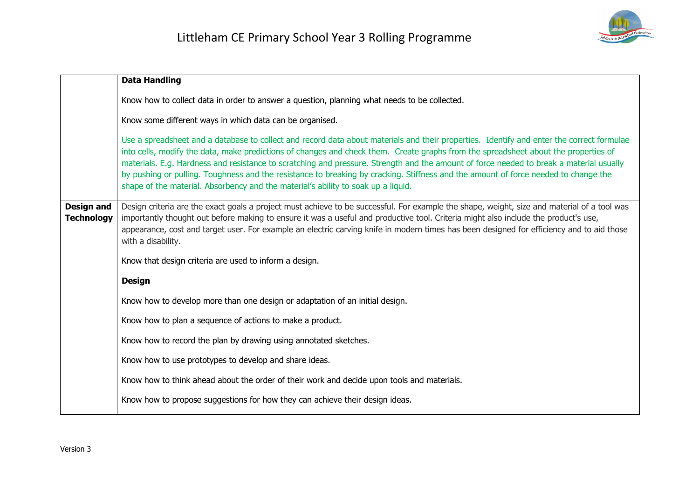

|                                        | <b>Data Handling</b>                                                                                                                                                                                                                                                                                                                                                                                                                                                                                                                                                                                                                                    |  |
|----------------------------------------|---------------------------------------------------------------------------------------------------------------------------------------------------------------------------------------------------------------------------------------------------------------------------------------------------------------------------------------------------------------------------------------------------------------------------------------------------------------------------------------------------------------------------------------------------------------------------------------------------------------------------------------------------------|--|
|                                        | Know how to collect data in order to answer a question, planning what needs to be collected.                                                                                                                                                                                                                                                                                                                                                                                                                                                                                                                                                            |  |
|                                        | Know some different ways in which data can be organised.                                                                                                                                                                                                                                                                                                                                                                                                                                                                                                                                                                                                |  |
|                                        | Use a spreadsheet and a database to collect and record data about materials and their properties. Identify and enter the correct formulae<br>into cells, modify the data, make predictions of changes and check them. Create graphs from the spreadsheet about the properties of<br>materials. E.g. Hardness and resistance to scratching and pressure. Strength and the amount of force needed to break a material usually<br>by pushing or pulling. Toughness and the resistance to breaking by cracking. Stiffness and the amount of force needed to change the<br>shape of the material. Absorbency and the material's ability to soak up a liquid. |  |
| <b>Design and</b><br><b>Technology</b> | Design criteria are the exact goals a project must achieve to be successful. For example the shape, weight, size and material of a tool was<br>importantly thought out before making to ensure it was a useful and productive tool. Criteria might also include the product's use,<br>appearance, cost and target user. For example an electric carving knife in modern times has been designed for efficiency and to aid those<br>with a disability.                                                                                                                                                                                                   |  |
|                                        | Know that design criteria are used to inform a design.                                                                                                                                                                                                                                                                                                                                                                                                                                                                                                                                                                                                  |  |
|                                        | <b>Design</b>                                                                                                                                                                                                                                                                                                                                                                                                                                                                                                                                                                                                                                           |  |
|                                        | Know how to develop more than one design or adaptation of an initial design.                                                                                                                                                                                                                                                                                                                                                                                                                                                                                                                                                                            |  |
|                                        | Know how to plan a sequence of actions to make a product.                                                                                                                                                                                                                                                                                                                                                                                                                                                                                                                                                                                               |  |
|                                        | Know how to record the plan by drawing using annotated sketches.                                                                                                                                                                                                                                                                                                                                                                                                                                                                                                                                                                                        |  |
|                                        | Know how to use prototypes to develop and share ideas.                                                                                                                                                                                                                                                                                                                                                                                                                                                                                                                                                                                                  |  |
|                                        | Know how to think ahead about the order of their work and decide upon tools and materials.                                                                                                                                                                                                                                                                                                                                                                                                                                                                                                                                                              |  |
|                                        | Know how to propose suggestions for how they can achieve their design ideas.                                                                                                                                                                                                                                                                                                                                                                                                                                                                                                                                                                            |  |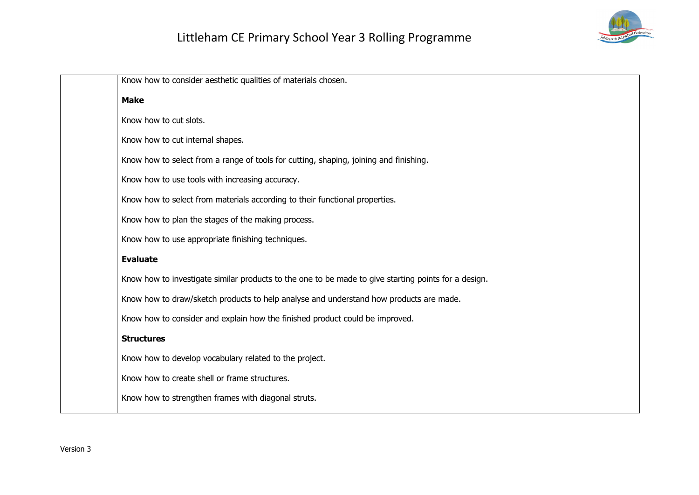

| Know how to consider aesthetic qualities of materials chosen.                                        |
|------------------------------------------------------------------------------------------------------|
| <b>Make</b>                                                                                          |
| Know how to cut slots.                                                                               |
| Know how to cut internal shapes.                                                                     |
| Know how to select from a range of tools for cutting, shaping, joining and finishing.                |
| Know how to use tools with increasing accuracy.                                                      |
| Know how to select from materials according to their functional properties.                          |
| Know how to plan the stages of the making process.                                                   |
| Know how to use appropriate finishing techniques.                                                    |
| <b>Evaluate</b>                                                                                      |
| Know how to investigate similar products to the one to be made to give starting points for a design. |
| Know how to draw/sketch products to help analyse and understand how products are made.               |
| Know how to consider and explain how the finished product could be improved.                         |
| <b>Structures</b>                                                                                    |
| Know how to develop vocabulary related to the project.                                               |
| Know how to create shell or frame structures.                                                        |
| Know how to strengthen frames with diagonal struts.                                                  |
|                                                                                                      |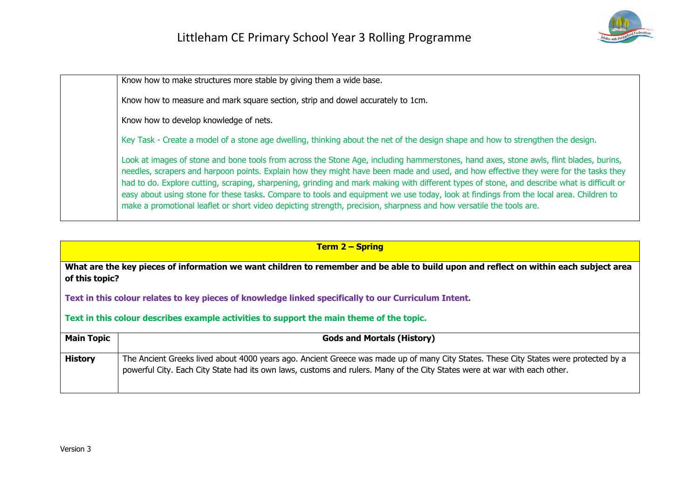

Know how to make structures more stable by giving them a wide base.

Know how to measure and mark square section, strip and dowel accurately to 1cm.

Know how to develop knowledge of nets.

Key Task - Create a model of a stone age dwelling, thinking about the net of the design shape and how to strengthen the design.

Look at images of stone and bone tools from across the Stone Age, including hammerstones, hand axes, stone awls, flint blades, burins, needles, scrapers and harpoon points. Explain how they might have been made and used, and how effective they were for the tasks they had to do. Explore cutting, scraping, sharpening, grinding and mark making with different types of stone, and describe what is difficult or easy about using stone for these tasks. Compare to tools and equipment we use today, look at findings from the local area. Children to make a promotional leaflet or short video depicting strength, precision, sharpness and how versatile the tools are.

| <b>Term 2 – Spring</b>                                                                   |                                                                                                                                                                                                                                                                   |
|------------------------------------------------------------------------------------------|-------------------------------------------------------------------------------------------------------------------------------------------------------------------------------------------------------------------------------------------------------------------|
| of this topic?                                                                           | What are the key pieces of information we want children to remember and be able to build upon and reflect on within each subject area                                                                                                                             |
|                                                                                          | Text in this colour relates to key pieces of knowledge linked specifically to our Curriculum Intent.                                                                                                                                                              |
| Text in this colour describes example activities to support the main theme of the topic. |                                                                                                                                                                                                                                                                   |
| <b>Main Topic</b>                                                                        | <b>Gods and Mortals (History)</b>                                                                                                                                                                                                                                 |
| <b>History</b>                                                                           | The Ancient Greeks lived about 4000 years ago. Ancient Greece was made up of many City States. These City States were protected by a<br>powerful City. Each City State had its own laws, customs and rulers. Many of the City States were at war with each other. |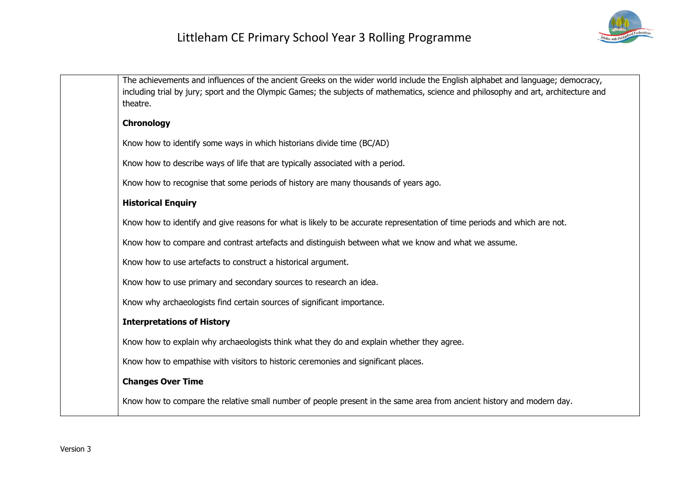

| The achievements and influences of the ancient Greeks on the wider world include the English alphabet and language; democracy,<br>including trial by jury; sport and the Olympic Games; the subjects of mathematics, science and philosophy and art, architecture and<br>theatre. |  |
|-----------------------------------------------------------------------------------------------------------------------------------------------------------------------------------------------------------------------------------------------------------------------------------|--|
| <b>Chronology</b>                                                                                                                                                                                                                                                                 |  |
| Know how to identify some ways in which historians divide time (BC/AD)                                                                                                                                                                                                            |  |
| Know how to describe ways of life that are typically associated with a period.                                                                                                                                                                                                    |  |
| Know how to recognise that some periods of history are many thousands of years ago.                                                                                                                                                                                               |  |
| <b>Historical Enquiry</b>                                                                                                                                                                                                                                                         |  |
| Know how to identify and give reasons for what is likely to be accurate representation of time periods and which are not.                                                                                                                                                         |  |
| Know how to compare and contrast artefacts and distinguish between what we know and what we assume.                                                                                                                                                                               |  |
| Know how to use artefacts to construct a historical argument.                                                                                                                                                                                                                     |  |
| Know how to use primary and secondary sources to research an idea.                                                                                                                                                                                                                |  |
| Know why archaeologists find certain sources of significant importance.                                                                                                                                                                                                           |  |
| <b>Interpretations of History</b>                                                                                                                                                                                                                                                 |  |
| Know how to explain why archaeologists think what they do and explain whether they agree.                                                                                                                                                                                         |  |
| Know how to empathise with visitors to historic ceremonies and significant places.                                                                                                                                                                                                |  |
| <b>Changes Over Time</b>                                                                                                                                                                                                                                                          |  |
| Know how to compare the relative small number of people present in the same area from ancient history and modern day.                                                                                                                                                             |  |
|                                                                                                                                                                                                                                                                                   |  |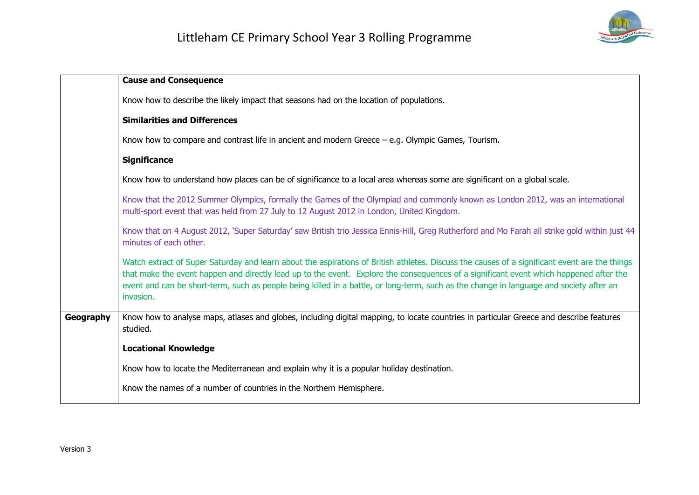

|           | <b>Cause and Consequence</b>                                                                                                                                                                                                                                                                                                                                                                                                                    |
|-----------|-------------------------------------------------------------------------------------------------------------------------------------------------------------------------------------------------------------------------------------------------------------------------------------------------------------------------------------------------------------------------------------------------------------------------------------------------|
|           | Know how to describe the likely impact that seasons had on the location of populations.                                                                                                                                                                                                                                                                                                                                                         |
|           | <b>Similarities and Differences</b>                                                                                                                                                                                                                                                                                                                                                                                                             |
|           | Know how to compare and contrast life in ancient and modern Greece $-$ e.g. Olympic Games, Tourism.                                                                                                                                                                                                                                                                                                                                             |
|           | <b>Significance</b>                                                                                                                                                                                                                                                                                                                                                                                                                             |
|           | Know how to understand how places can be of significance to a local area whereas some are significant on a global scale.                                                                                                                                                                                                                                                                                                                        |
|           | Know that the 2012 Summer Olympics, formally the Games of the Olympiad and commonly known as London 2012, was an international<br>multi-sport event that was held from 27 July to 12 August 2012 in London, United Kingdom.                                                                                                                                                                                                                     |
|           | Know that on 4 August 2012, 'Super Saturday' saw British trio Jessica Ennis-Hill, Greg Rutherford and Mo Farah all strike gold within just 44<br>minutes of each other.                                                                                                                                                                                                                                                                         |
|           | Watch extract of Super Saturday and learn about the aspirations of British athletes. Discuss the causes of a significant event are the things<br>that make the event happen and directly lead up to the event. Explore the consequences of a significant event which happened after the<br>event and can be short-term, such as people being killed in a battle, or long-term, such as the change in language and society after an<br>invasion. |
| Geography | Know how to analyse maps, atlases and globes, including digital mapping, to locate countries in particular Greece and describe features<br>studied.                                                                                                                                                                                                                                                                                             |
|           | <b>Locational Knowledge</b>                                                                                                                                                                                                                                                                                                                                                                                                                     |
|           | Know how to locate the Mediterranean and explain why it is a popular holiday destination.                                                                                                                                                                                                                                                                                                                                                       |
|           | Know the names of a number of countries in the Northern Hemisphere.                                                                                                                                                                                                                                                                                                                                                                             |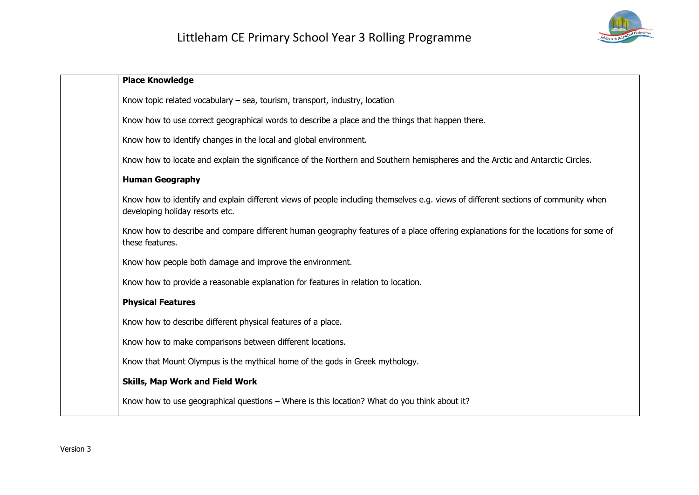

| <b>Place Knowledge</b>                                                                                                                                                |
|-----------------------------------------------------------------------------------------------------------------------------------------------------------------------|
| Know topic related vocabulary - sea, tourism, transport, industry, location                                                                                           |
| Know how to use correct geographical words to describe a place and the things that happen there.                                                                      |
| Know how to identify changes in the local and global environment.                                                                                                     |
| Know how to locate and explain the significance of the Northern and Southern hemispheres and the Arctic and Antarctic Circles.                                        |
| <b>Human Geography</b>                                                                                                                                                |
| Know how to identify and explain different views of people including themselves e.g. views of different sections of community when<br>developing holiday resorts etc. |
| Know how to describe and compare different human geography features of a place offering explanations for the locations for some of<br>these features.                 |
| Know how people both damage and improve the environment.                                                                                                              |
| Know how to provide a reasonable explanation for features in relation to location.                                                                                    |
| <b>Physical Features</b>                                                                                                                                              |
| Know how to describe different physical features of a place.                                                                                                          |
| Know how to make comparisons between different locations.                                                                                                             |
| Know that Mount Olympus is the mythical home of the gods in Greek mythology.                                                                                          |
| <b>Skills, Map Work and Field Work</b>                                                                                                                                |
| Know how to use geographical questions - Where is this location? What do you think about it?                                                                          |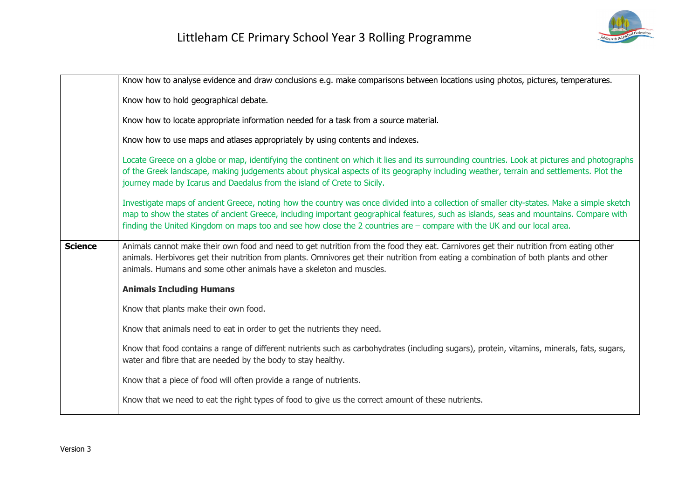

|                | Know how to analyse evidence and draw conclusions e.g. make comparisons between locations using photos, pictures, temperatures.                                                                                                                                                                                                                                                                                |
|----------------|----------------------------------------------------------------------------------------------------------------------------------------------------------------------------------------------------------------------------------------------------------------------------------------------------------------------------------------------------------------------------------------------------------------|
|                | Know how to hold geographical debate.                                                                                                                                                                                                                                                                                                                                                                          |
|                | Know how to locate appropriate information needed for a task from a source material.                                                                                                                                                                                                                                                                                                                           |
|                | Know how to use maps and atlases appropriately by using contents and indexes.                                                                                                                                                                                                                                                                                                                                  |
|                | Locate Greece on a globe or map, identifying the continent on which it lies and its surrounding countries. Look at pictures and photographs<br>of the Greek landscape, making judgements about physical aspects of its geography including weather, terrain and settlements. Plot the<br>journey made by Icarus and Daedalus from the island of Crete to Sicily.                                               |
|                | Investigate maps of ancient Greece, noting how the country was once divided into a collection of smaller city-states. Make a simple sketch<br>map to show the states of ancient Greece, including important geographical features, such as islands, seas and mountains. Compare with<br>finding the United Kingdom on maps too and see how close the 2 countries are - compare with the UK and our local area. |
| <b>Science</b> | Animals cannot make their own food and need to get nutrition from the food they eat. Carnivores get their nutrition from eating other<br>animals. Herbivores get their nutrition from plants. Omnivores get their nutrition from eating a combination of both plants and other<br>animals. Humans and some other animals have a skeleton and muscles.                                                          |
|                | <b>Animals Including Humans</b>                                                                                                                                                                                                                                                                                                                                                                                |
|                | Know that plants make their own food.                                                                                                                                                                                                                                                                                                                                                                          |
|                | Know that animals need to eat in order to get the nutrients they need.                                                                                                                                                                                                                                                                                                                                         |
|                | Know that food contains a range of different nutrients such as carbohydrates (including sugars), protein, vitamins, minerals, fats, sugars,<br>water and fibre that are needed by the body to stay healthy.                                                                                                                                                                                                    |
|                | Know that a piece of food will often provide a range of nutrients.                                                                                                                                                                                                                                                                                                                                             |
|                | Know that we need to eat the right types of food to give us the correct amount of these nutrients.                                                                                                                                                                                                                                                                                                             |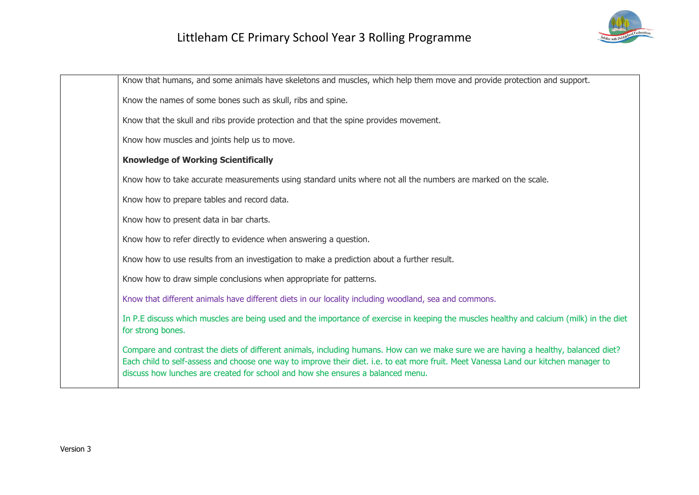

Know that humans, and some animals have skeletons and muscles, which help them move and provide protection and support. Know the names of some bones such as skull, ribs and spine. Know that the skull and ribs provide protection and that the spine provides movement. Know how muscles and joints help us to move. **Knowledge of Working Scientifically** Know how to take accurate measurements using standard units where not all the numbers are marked on the scale. Know how to prepare tables and record data. Know how to present data in bar charts. Know how to refer directly to evidence when answering a question. Know how to use results from an investigation to make a prediction about a further result. Know how to draw simple conclusions when appropriate for patterns. Know that different animals have different diets in our locality including woodland, sea and commons. In P.E discuss which muscles are being used and the importance of exercise in keeping the muscles healthy and calcium (milk) in the diet for strong bones. Compare and contrast the diets of different animals, including humans. How can we make sure we are having a healthy, balanced diet? Each child to self-assess and choose one way to improve their diet. i.e. to eat more fruit. Meet Vanessa Land our kitchen manager to discuss how lunches are created for school and how she ensures a balanced menu.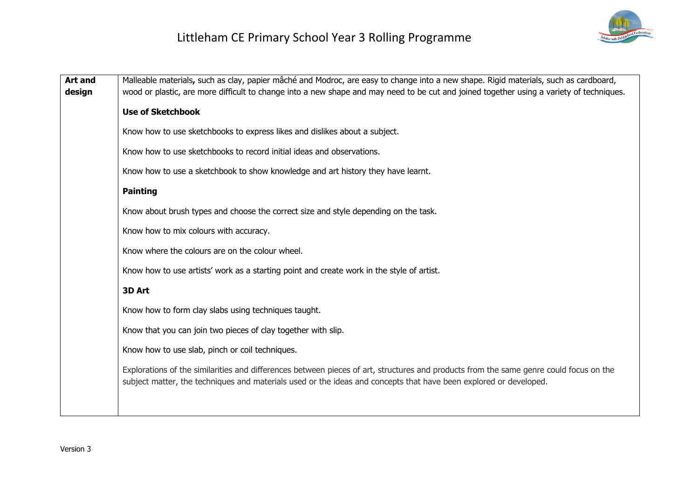

| <b>Art and</b><br>design | Malleable materials, such as clay, papier mâché and Modroc, are easy to change into a new shape. Rigid materials, such as cardboard,<br>wood or plastic, are more difficult to change into a new shape and may need to be cut and joined together using a variety of techniques. |
|--------------------------|----------------------------------------------------------------------------------------------------------------------------------------------------------------------------------------------------------------------------------------------------------------------------------|
|                          | <b>Use of Sketchbook</b>                                                                                                                                                                                                                                                         |
|                          | Know how to use sketchbooks to express likes and dislikes about a subject.                                                                                                                                                                                                       |
|                          | Know how to use sketchbooks to record initial ideas and observations.                                                                                                                                                                                                            |
|                          | Know how to use a sketchbook to show knowledge and art history they have learnt.                                                                                                                                                                                                 |
|                          | <b>Painting</b>                                                                                                                                                                                                                                                                  |
|                          | Know about brush types and choose the correct size and style depending on the task.                                                                                                                                                                                              |
|                          | Know how to mix colours with accuracy.                                                                                                                                                                                                                                           |
|                          | Know where the colours are on the colour wheel.                                                                                                                                                                                                                                  |
|                          | Know how to use artists' work as a starting point and create work in the style of artist.                                                                                                                                                                                        |
|                          | 3D Art                                                                                                                                                                                                                                                                           |
|                          | Know how to form clay slabs using techniques taught.                                                                                                                                                                                                                             |
|                          | Know that you can join two pieces of clay together with slip.                                                                                                                                                                                                                    |
|                          | Know how to use slab, pinch or coil techniques.                                                                                                                                                                                                                                  |
|                          | Explorations of the similarities and differences between pieces of art, structures and products from the same genre could focus on the<br>subject matter, the techniques and materials used or the ideas and concepts that have been explored or developed.                      |
|                          |                                                                                                                                                                                                                                                                                  |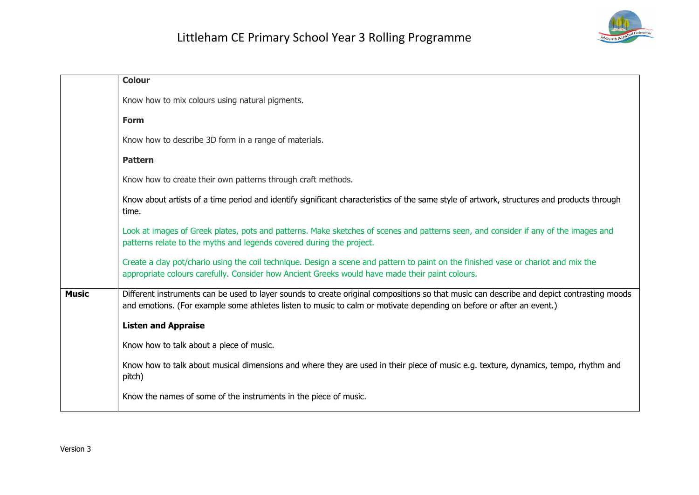

|              | <b>Colour</b>                                                                                                                                                                                                                                                     |
|--------------|-------------------------------------------------------------------------------------------------------------------------------------------------------------------------------------------------------------------------------------------------------------------|
|              | Know how to mix colours using natural pigments.                                                                                                                                                                                                                   |
|              | <b>Form</b>                                                                                                                                                                                                                                                       |
|              | Know how to describe 3D form in a range of materials.                                                                                                                                                                                                             |
|              | <b>Pattern</b>                                                                                                                                                                                                                                                    |
|              | Know how to create their own patterns through craft methods.                                                                                                                                                                                                      |
|              | Know about artists of a time period and identify significant characteristics of the same style of artwork, structures and products through<br>time.                                                                                                               |
|              | Look at images of Greek plates, pots and patterns. Make sketches of scenes and patterns seen, and consider if any of the images and<br>patterns relate to the myths and legends covered during the project.                                                       |
|              | Create a clay pot/chario using the coil technique. Design a scene and pattern to paint on the finished vase or chariot and mix the<br>appropriate colours carefully. Consider how Ancient Greeks would have made their paint colours.                             |
| <b>Music</b> | Different instruments can be used to layer sounds to create original compositions so that music can describe and depict contrasting moods<br>and emotions. (For example some athletes listen to music to calm or motivate depending on before or after an event.) |
|              | <b>Listen and Appraise</b>                                                                                                                                                                                                                                        |
|              | Know how to talk about a piece of music.                                                                                                                                                                                                                          |
|              | Know how to talk about musical dimensions and where they are used in their piece of music e.g. texture, dynamics, tempo, rhythm and<br>pitch)                                                                                                                     |
|              | Know the names of some of the instruments in the piece of music.                                                                                                                                                                                                  |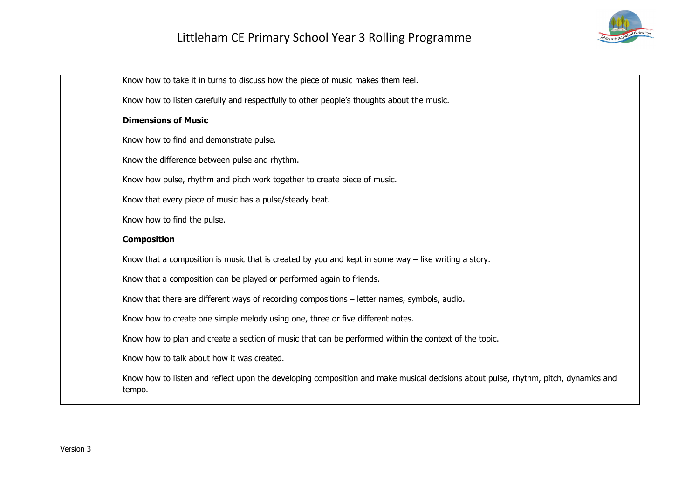

| Know how to take it in turns to discuss how the piece of music makes them feel.                                                              |
|----------------------------------------------------------------------------------------------------------------------------------------------|
| Know how to listen carefully and respectfully to other people's thoughts about the music.                                                    |
| <b>Dimensions of Music</b>                                                                                                                   |
| Know how to find and demonstrate pulse.                                                                                                      |
| Know the difference between pulse and rhythm.                                                                                                |
| Know how pulse, rhythm and pitch work together to create piece of music.                                                                     |
| Know that every piece of music has a pulse/steady beat.                                                                                      |
| Know how to find the pulse.                                                                                                                  |
| <b>Composition</b>                                                                                                                           |
| Know that a composition is music that is created by you and kept in some way $-$ like writing a story.                                       |
| Know that a composition can be played or performed again to friends.                                                                         |
| Know that there are different ways of recording compositions - letter names, symbols, audio.                                                 |
| Know how to create one simple melody using one, three or five different notes.                                                               |
| Know how to plan and create a section of music that can be performed within the context of the topic.                                        |
| Know how to talk about how it was created.                                                                                                   |
| Know how to listen and reflect upon the developing composition and make musical decisions about pulse, rhythm, pitch, dynamics and<br>tempo. |
|                                                                                                                                              |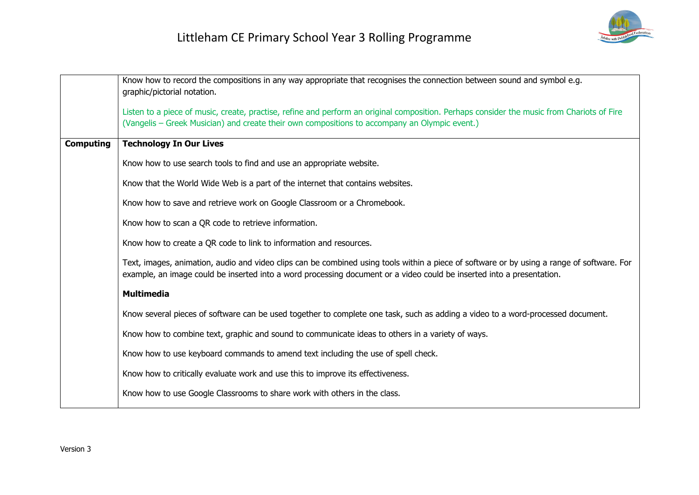

|                  | Know how to record the compositions in any way appropriate that recognises the connection between sound and symbol e.g.<br>graphic/pictorial notation.                                                                                                              |
|------------------|---------------------------------------------------------------------------------------------------------------------------------------------------------------------------------------------------------------------------------------------------------------------|
|                  | Listen to a piece of music, create, practise, refine and perform an original composition. Perhaps consider the music from Chariots of Fire                                                                                                                          |
|                  | (Vangelis - Greek Musician) and create their own compositions to accompany an Olympic event.)                                                                                                                                                                       |
| <b>Computing</b> | <b>Technology In Our Lives</b>                                                                                                                                                                                                                                      |
|                  | Know how to use search tools to find and use an appropriate website.                                                                                                                                                                                                |
|                  | Know that the World Wide Web is a part of the internet that contains websites.                                                                                                                                                                                      |
|                  | Know how to save and retrieve work on Google Classroom or a Chromebook.                                                                                                                                                                                             |
|                  | Know how to scan a QR code to retrieve information.                                                                                                                                                                                                                 |
|                  | Know how to create a QR code to link to information and resources.                                                                                                                                                                                                  |
|                  | Text, images, animation, audio and video clips can be combined using tools within a piece of software or by using a range of software. For<br>example, an image could be inserted into a word processing document or a video could be inserted into a presentation. |
|                  | <b>Multimedia</b>                                                                                                                                                                                                                                                   |
|                  | Know several pieces of software can be used together to complete one task, such as adding a video to a word-processed document.                                                                                                                                     |
|                  | Know how to combine text, graphic and sound to communicate ideas to others in a variety of ways.                                                                                                                                                                    |
|                  | Know how to use keyboard commands to amend text including the use of spell check.                                                                                                                                                                                   |
|                  | Know how to critically evaluate work and use this to improve its effectiveness.                                                                                                                                                                                     |
|                  | Know how to use Google Classrooms to share work with others in the class.                                                                                                                                                                                           |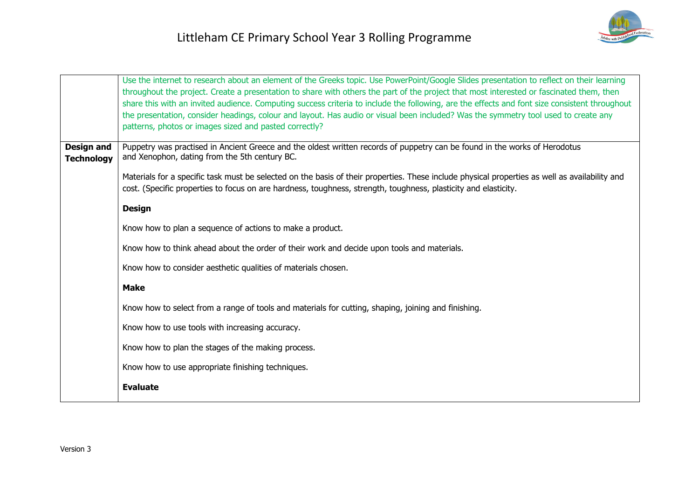

|                                        | Use the internet to research about an element of the Greeks topic. Use PowerPoint/Google Slides presentation to reflect on their learning<br>throughout the project. Create a presentation to share with others the part of the project that most interested or fascinated them, then<br>share this with an invited audience. Computing success criteria to include the following, are the effects and font size consistent throughout<br>the presentation, consider headings, colour and layout. Has audio or visual been included? Was the symmetry tool used to create any<br>patterns, photos or images sized and pasted correctly? |
|----------------------------------------|-----------------------------------------------------------------------------------------------------------------------------------------------------------------------------------------------------------------------------------------------------------------------------------------------------------------------------------------------------------------------------------------------------------------------------------------------------------------------------------------------------------------------------------------------------------------------------------------------------------------------------------------|
| <b>Design and</b><br><b>Technology</b> | Puppetry was practised in Ancient Greece and the oldest written records of puppetry can be found in the works of Herodotus<br>and Xenophon, dating from the 5th century BC.                                                                                                                                                                                                                                                                                                                                                                                                                                                             |
|                                        | Materials for a specific task must be selected on the basis of their properties. These include physical properties as well as availability and<br>cost. (Specific properties to focus on are hardness, toughness, strength, toughness, plasticity and elasticity.                                                                                                                                                                                                                                                                                                                                                                       |
|                                        | <b>Design</b>                                                                                                                                                                                                                                                                                                                                                                                                                                                                                                                                                                                                                           |
|                                        | Know how to plan a sequence of actions to make a product.                                                                                                                                                                                                                                                                                                                                                                                                                                                                                                                                                                               |
|                                        | Know how to think ahead about the order of their work and decide upon tools and materials.                                                                                                                                                                                                                                                                                                                                                                                                                                                                                                                                              |
|                                        | Know how to consider aesthetic qualities of materials chosen.                                                                                                                                                                                                                                                                                                                                                                                                                                                                                                                                                                           |
|                                        | <b>Make</b>                                                                                                                                                                                                                                                                                                                                                                                                                                                                                                                                                                                                                             |
|                                        | Know how to select from a range of tools and materials for cutting, shaping, joining and finishing.                                                                                                                                                                                                                                                                                                                                                                                                                                                                                                                                     |
|                                        | Know how to use tools with increasing accuracy.                                                                                                                                                                                                                                                                                                                                                                                                                                                                                                                                                                                         |
|                                        | Know how to plan the stages of the making process.                                                                                                                                                                                                                                                                                                                                                                                                                                                                                                                                                                                      |
|                                        | Know how to use appropriate finishing techniques.                                                                                                                                                                                                                                                                                                                                                                                                                                                                                                                                                                                       |
|                                        | <b>Evaluate</b>                                                                                                                                                                                                                                                                                                                                                                                                                                                                                                                                                                                                                         |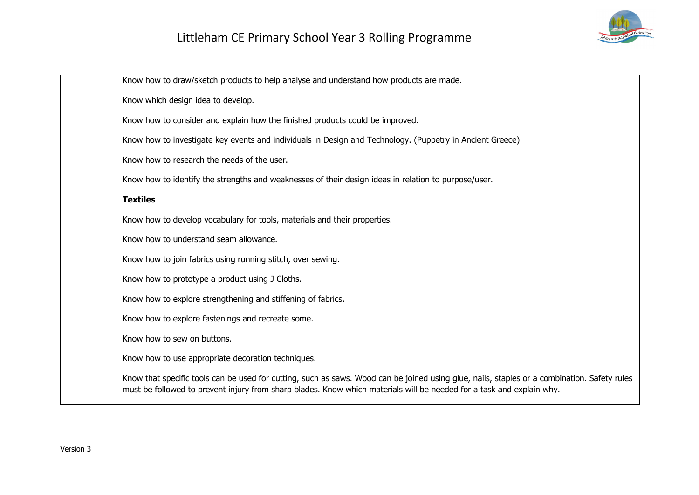

| Know how to draw/sketch products to help analyse and understand how products are made.                                                                                                                                                                                |
|-----------------------------------------------------------------------------------------------------------------------------------------------------------------------------------------------------------------------------------------------------------------------|
| Know which design idea to develop.                                                                                                                                                                                                                                    |
| Know how to consider and explain how the finished products could be improved.                                                                                                                                                                                         |
| Know how to investigate key events and individuals in Design and Technology. (Puppetry in Ancient Greece)                                                                                                                                                             |
| Know how to research the needs of the user.                                                                                                                                                                                                                           |
| Know how to identify the strengths and weaknesses of their design ideas in relation to purpose/user.                                                                                                                                                                  |
| <b>Textiles</b>                                                                                                                                                                                                                                                       |
| Know how to develop vocabulary for tools, materials and their properties.                                                                                                                                                                                             |
| Know how to understand seam allowance.                                                                                                                                                                                                                                |
| Know how to join fabrics using running stitch, over sewing.                                                                                                                                                                                                           |
| Know how to prototype a product using J Cloths.                                                                                                                                                                                                                       |
| Know how to explore strengthening and stiffening of fabrics.                                                                                                                                                                                                          |
| Know how to explore fastenings and recreate some.                                                                                                                                                                                                                     |
| Know how to sew on buttons.                                                                                                                                                                                                                                           |
| Know how to use appropriate decoration techniques.                                                                                                                                                                                                                    |
| Know that specific tools can be used for cutting, such as saws. Wood can be joined using glue, nails, staples or a combination. Safety rules<br>must be followed to prevent injury from sharp blades. Know which materials will be needed for a task and explain why. |
|                                                                                                                                                                                                                                                                       |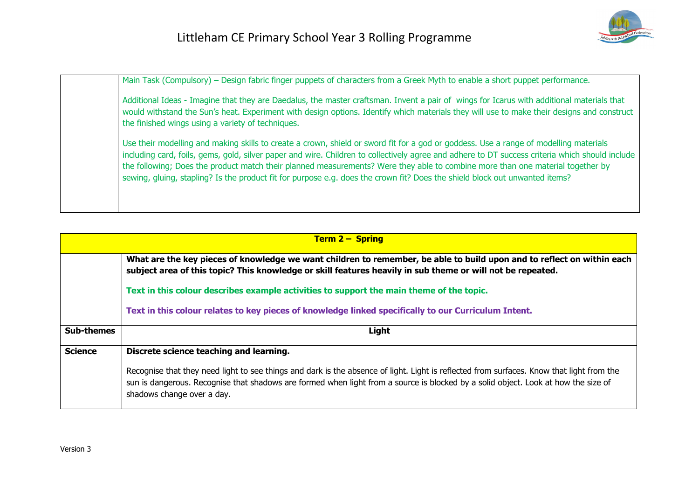

| Main Task (Compulsory) – Design fabric finger puppets of characters from a Greek Myth to enable a short puppet performance.                                                                                                                                                                                                                                                                                                                                                                                                                               |
|-----------------------------------------------------------------------------------------------------------------------------------------------------------------------------------------------------------------------------------------------------------------------------------------------------------------------------------------------------------------------------------------------------------------------------------------------------------------------------------------------------------------------------------------------------------|
| Additional Ideas - Imagine that they are Daedalus, the master craftsman. Invent a pair of wings for Icarus with additional materials that<br>would withstand the Sun's heat. Experiment with design options. Identify which materials they will use to make their designs and construct<br>the finished wings using a variety of techniques.                                                                                                                                                                                                              |
| Use their modelling and making skills to create a crown, shield or sword fit for a god or goddess. Use a range of modelling materials<br>including card, foils, gems, gold, silver paper and wire. Children to collectively agree and adhere to DT success criteria which should include<br>the following; Does the product match their planned measurements? Were they able to combine more than one material together by<br>sewing, gluing, stapling? Is the product fit for purpose e.g. does the crown fit? Does the shield block out unwanted items? |
|                                                                                                                                                                                                                                                                                                                                                                                                                                                                                                                                                           |

| <b>Term 2 – Spring</b> |                                                                                                                                                                                                                                                                                                               |
|------------------------|---------------------------------------------------------------------------------------------------------------------------------------------------------------------------------------------------------------------------------------------------------------------------------------------------------------|
|                        | What are the key pieces of knowledge we want children to remember, be able to build upon and to reflect on within each<br>subject area of this topic? This knowledge or skill features heavily in sub theme or will not be repeated.                                                                          |
|                        | Text in this colour describes example activities to support the main theme of the topic.                                                                                                                                                                                                                      |
|                        | Text in this colour relates to key pieces of knowledge linked specifically to our Curriculum Intent.                                                                                                                                                                                                          |
| <b>Sub-themes</b>      | Light                                                                                                                                                                                                                                                                                                         |
| <b>Science</b>         | Discrete science teaching and learning.                                                                                                                                                                                                                                                                       |
|                        | Recognise that they need light to see things and dark is the absence of light. Light is reflected from surfaces. Know that light from the<br>sun is dangerous. Recognise that shadows are formed when light from a source is blocked by a solid object. Look at how the size of<br>shadows change over a day. |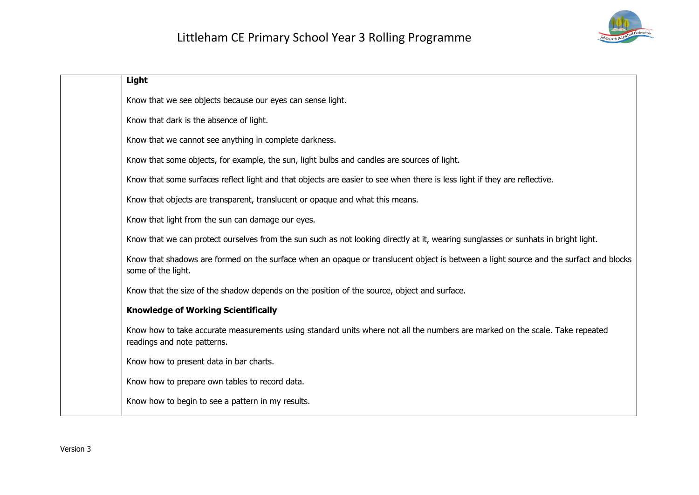

| Light                                                                                                                                                       |
|-------------------------------------------------------------------------------------------------------------------------------------------------------------|
| Know that we see objects because our eyes can sense light.                                                                                                  |
| Know that dark is the absence of light.                                                                                                                     |
| Know that we cannot see anything in complete darkness.                                                                                                      |
| Know that some objects, for example, the sun, light bulbs and candles are sources of light.                                                                 |
| Know that some surfaces reflect light and that objects are easier to see when there is less light if they are reflective.                                   |
| Know that objects are transparent, translucent or opaque and what this means.                                                                               |
| Know that light from the sun can damage our eyes.                                                                                                           |
| Know that we can protect ourselves from the sun such as not looking directly at it, wearing sunglasses or sunhats in bright light.                          |
| Know that shadows are formed on the surface when an opaque or translucent object is between a light source and the surfact and blocks<br>some of the light. |
| Know that the size of the shadow depends on the position of the source, object and surface.                                                                 |
| <b>Knowledge of Working Scientifically</b>                                                                                                                  |
| Know how to take accurate measurements using standard units where not all the numbers are marked on the scale. Take repeated<br>readings and note patterns. |
| Know how to present data in bar charts.                                                                                                                     |
| Know how to prepare own tables to record data.                                                                                                              |
| Know how to begin to see a pattern in my results.                                                                                                           |
|                                                                                                                                                             |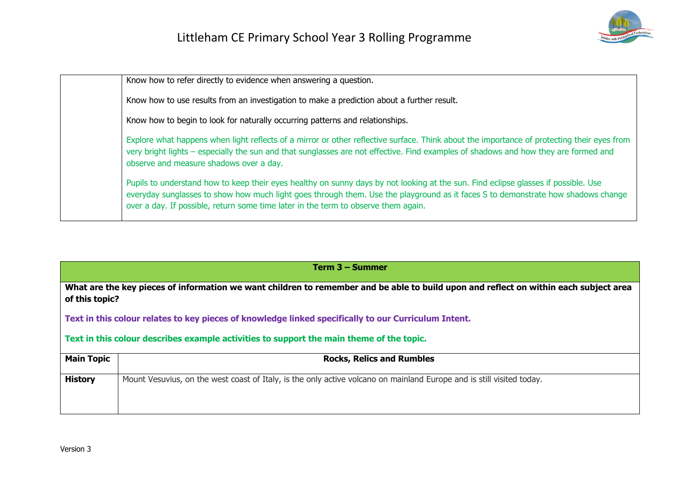

Know how to refer directly to evidence when answering a question.

Know how to use results from an investigation to make a prediction about a further result.

Know how to begin to look for naturally occurring patterns and relationships.

Explore what happens when light reflects of a mirror or other reflective surface. Think about the importance of protecting their eyes from very bright lights – especially the sun and that sunglasses are not effective. Find examples of shadows and how they are formed and observe and measure shadows over a day.

Pupils to understand how to keep their eyes healthy on sunny days by not looking at the sun. Find eclipse glasses if possible. Use everyday sunglasses to show how much light goes through them. Use the playground as it faces S to demonstrate how shadows change over a day. If possible, return some time later in the term to observe them again.

**Term 3 – Summer**

**What are the key pieces of information we want children to remember and be able to build upon and reflect on within each subject area of this topic?**

**Text in this colour relates to key pieces of knowledge linked specifically to our Curriculum Intent.**

**Text in this colour describes example activities to support the main theme of the topic.**

| <b>Main Topic</b> | <b>Rocks, Relics and Rumbles</b>                                                                                      |
|-------------------|-----------------------------------------------------------------------------------------------------------------------|
| <b>History</b>    | Mount Vesuvius, on the west coast of Italy, is the only active volcano on mainland Europe and is still visited today. |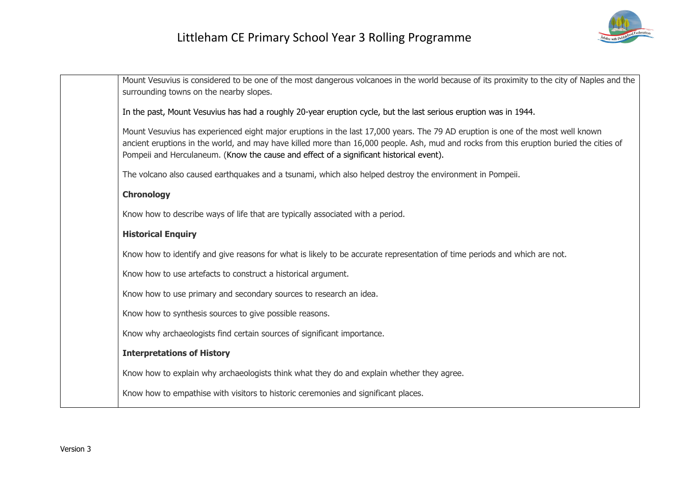

| Mount Vesuvius is considered to be one of the most dangerous volcanoes in the world because of its proximity to the city of Naples and the<br>surrounding towns on the nearby slopes.                                                                                                                                                                                 |
|-----------------------------------------------------------------------------------------------------------------------------------------------------------------------------------------------------------------------------------------------------------------------------------------------------------------------------------------------------------------------|
| In the past, Mount Vesuvius has had a roughly 20-year eruption cycle, but the last serious eruption was in 1944.                                                                                                                                                                                                                                                      |
| Mount Vesuvius has experienced eight major eruptions in the last 17,000 years. The 79 AD eruption is one of the most well known<br>ancient eruptions in the world, and may have killed more than 16,000 people. Ash, mud and rocks from this eruption buried the cities of<br>Pompeii and Herculaneum. (Know the cause and effect of a significant historical event). |
| The volcano also caused earthquakes and a tsunami, which also helped destroy the environment in Pompeii.                                                                                                                                                                                                                                                              |
| Chronology                                                                                                                                                                                                                                                                                                                                                            |
| Know how to describe ways of life that are typically associated with a period.                                                                                                                                                                                                                                                                                        |
| <b>Historical Enquiry</b>                                                                                                                                                                                                                                                                                                                                             |
| Know how to identify and give reasons for what is likely to be accurate representation of time periods and which are not.                                                                                                                                                                                                                                             |
| Know how to use artefacts to construct a historical argument.                                                                                                                                                                                                                                                                                                         |
| Know how to use primary and secondary sources to research an idea.                                                                                                                                                                                                                                                                                                    |
| Know how to synthesis sources to give possible reasons.                                                                                                                                                                                                                                                                                                               |
| Know why archaeologists find certain sources of significant importance.                                                                                                                                                                                                                                                                                               |
| <b>Interpretations of History</b>                                                                                                                                                                                                                                                                                                                                     |
| Know how to explain why archaeologists think what they do and explain whether they agree.                                                                                                                                                                                                                                                                             |
| Know how to empathise with visitors to historic ceremonies and significant places.                                                                                                                                                                                                                                                                                    |
|                                                                                                                                                                                                                                                                                                                                                                       |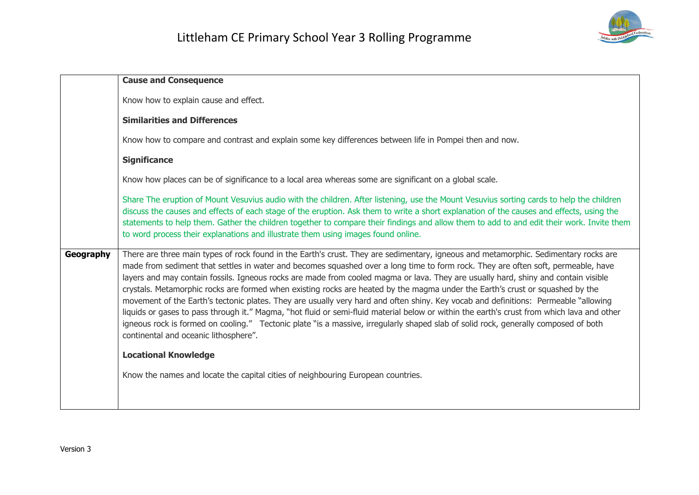

|           | <b>Cause and Consequence</b>                                                                                                                                                                                                                                                                                                                                                                                                                                                                                                                                                                                                                                                                                                                                                                                                                                                                                                                                                                                         |
|-----------|----------------------------------------------------------------------------------------------------------------------------------------------------------------------------------------------------------------------------------------------------------------------------------------------------------------------------------------------------------------------------------------------------------------------------------------------------------------------------------------------------------------------------------------------------------------------------------------------------------------------------------------------------------------------------------------------------------------------------------------------------------------------------------------------------------------------------------------------------------------------------------------------------------------------------------------------------------------------------------------------------------------------|
|           | Know how to explain cause and effect.                                                                                                                                                                                                                                                                                                                                                                                                                                                                                                                                                                                                                                                                                                                                                                                                                                                                                                                                                                                |
|           | <b>Similarities and Differences</b>                                                                                                                                                                                                                                                                                                                                                                                                                                                                                                                                                                                                                                                                                                                                                                                                                                                                                                                                                                                  |
|           | Know how to compare and contrast and explain some key differences between life in Pompei then and now.                                                                                                                                                                                                                                                                                                                                                                                                                                                                                                                                                                                                                                                                                                                                                                                                                                                                                                               |
|           | <b>Significance</b>                                                                                                                                                                                                                                                                                                                                                                                                                                                                                                                                                                                                                                                                                                                                                                                                                                                                                                                                                                                                  |
|           | Know how places can be of significance to a local area whereas some are significant on a global scale.                                                                                                                                                                                                                                                                                                                                                                                                                                                                                                                                                                                                                                                                                                                                                                                                                                                                                                               |
|           | Share The eruption of Mount Vesuvius audio with the children. After listening, use the Mount Vesuvius sorting cards to help the children<br>discuss the causes and effects of each stage of the eruption. Ask them to write a short explanation of the causes and effects, using the<br>statements to help them. Gather the children together to compare their findings and allow them to add to and edit their work. Invite them<br>to word process their explanations and illustrate them using images found online.                                                                                                                                                                                                                                                                                                                                                                                                                                                                                               |
| Geography | There are three main types of rock found in the Earth's crust. They are sedimentary, igneous and metamorphic. Sedimentary rocks are<br>made from sediment that settles in water and becomes squashed over a long time to form rock. They are often soft, permeable, have<br>layers and may contain fossils. Igneous rocks are made from cooled magma or lava. They are usually hard, shiny and contain visible<br>crystals. Metamorphic rocks are formed when existing rocks are heated by the magma under the Earth's crust or squashed by the<br>movement of the Earth's tectonic plates. They are usually very hard and often shiny. Key vocab and definitions: Permeable "allowing<br>liquids or gases to pass through it." Magma, "hot fluid or semi-fluid material below or within the earth's crust from which lava and other<br>igneous rock is formed on cooling." Tectonic plate "is a massive, irregularly shaped slab of solid rock, generally composed of both<br>continental and oceanic lithosphere". |
|           | <b>Locational Knowledge</b>                                                                                                                                                                                                                                                                                                                                                                                                                                                                                                                                                                                                                                                                                                                                                                                                                                                                                                                                                                                          |
|           | Know the names and locate the capital cities of neighbouring European countries.                                                                                                                                                                                                                                                                                                                                                                                                                                                                                                                                                                                                                                                                                                                                                                                                                                                                                                                                     |
|           |                                                                                                                                                                                                                                                                                                                                                                                                                                                                                                                                                                                                                                                                                                                                                                                                                                                                                                                                                                                                                      |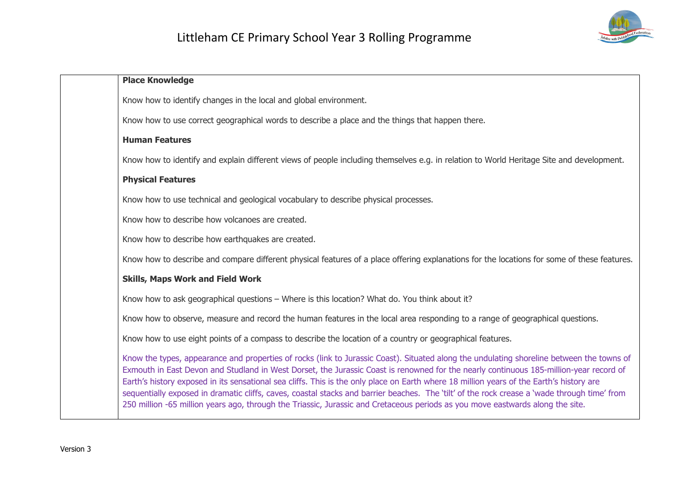

| <b>Place Knowledge</b>                                                                                                                                                                                                                                                                                                                                                                                                                                                                                                                                                                                                                                                                                            |
|-------------------------------------------------------------------------------------------------------------------------------------------------------------------------------------------------------------------------------------------------------------------------------------------------------------------------------------------------------------------------------------------------------------------------------------------------------------------------------------------------------------------------------------------------------------------------------------------------------------------------------------------------------------------------------------------------------------------|
| Know how to identify changes in the local and global environment.                                                                                                                                                                                                                                                                                                                                                                                                                                                                                                                                                                                                                                                 |
| Know how to use correct geographical words to describe a place and the things that happen there.                                                                                                                                                                                                                                                                                                                                                                                                                                                                                                                                                                                                                  |
| <b>Human Features</b>                                                                                                                                                                                                                                                                                                                                                                                                                                                                                                                                                                                                                                                                                             |
| Know how to identify and explain different views of people including themselves e.g. in relation to World Heritage Site and development.                                                                                                                                                                                                                                                                                                                                                                                                                                                                                                                                                                          |
| <b>Physical Features</b>                                                                                                                                                                                                                                                                                                                                                                                                                                                                                                                                                                                                                                                                                          |
| Know how to use technical and geological vocabulary to describe physical processes.                                                                                                                                                                                                                                                                                                                                                                                                                                                                                                                                                                                                                               |
| Know how to describe how volcanoes are created.                                                                                                                                                                                                                                                                                                                                                                                                                                                                                                                                                                                                                                                                   |
| Know how to describe how earthquakes are created.                                                                                                                                                                                                                                                                                                                                                                                                                                                                                                                                                                                                                                                                 |
| Know how to describe and compare different physical features of a place offering explanations for the locations for some of these features.                                                                                                                                                                                                                                                                                                                                                                                                                                                                                                                                                                       |
| <b>Skills, Maps Work and Field Work</b>                                                                                                                                                                                                                                                                                                                                                                                                                                                                                                                                                                                                                                                                           |
| Know how to ask geographical questions - Where is this location? What do. You think about it?                                                                                                                                                                                                                                                                                                                                                                                                                                                                                                                                                                                                                     |
| Know how to observe, measure and record the human features in the local area responding to a range of geographical questions.                                                                                                                                                                                                                                                                                                                                                                                                                                                                                                                                                                                     |
| Know how to use eight points of a compass to describe the location of a country or geographical features.                                                                                                                                                                                                                                                                                                                                                                                                                                                                                                                                                                                                         |
| Know the types, appearance and properties of rocks (link to Jurassic Coast). Situated along the undulating shoreline between the towns of<br>Exmouth in East Devon and Studland in West Dorset, the Jurassic Coast is renowned for the nearly continuous 185-million-year record of<br>Earth's history exposed in its sensational sea cliffs. This is the only place on Earth where 18 million years of the Earth's history are<br>sequentially exposed in dramatic cliffs, caves, coastal stacks and barrier beaches. The 'tilt' of the rock crease a 'wade through time' from<br>250 million -65 million years ago, through the Triassic, Jurassic and Cretaceous periods as you move eastwards along the site. |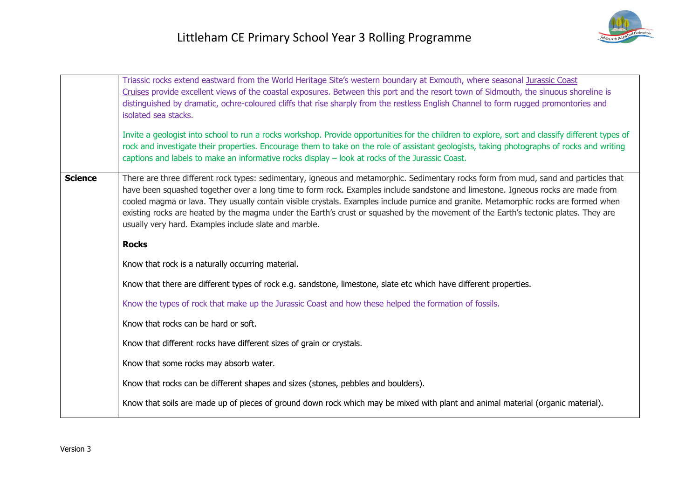|                | Triassic rocks extend eastward from the World Heritage Site's western boundary at Exmouth, where seasonal Jurassic Coast<br>Cruises provide excellent views of the coastal exposures. Between this port and the resort town of Sidmouth, the sinuous shoreline is<br>distinguished by dramatic, ochre-coloured cliffs that rise sharply from the restless English Channel to form rugged promontories and<br>isolated sea stacks.<br>Invite a geologist into school to run a rocks workshop. Provide opportunities for the children to explore, sort and classify different types of<br>rock and investigate their properties. Encourage them to take on the role of assistant geologists, taking photographs of rocks and writing<br>captions and labels to make an informative rocks display - look at rocks of the Jurassic Coast. |
|----------------|---------------------------------------------------------------------------------------------------------------------------------------------------------------------------------------------------------------------------------------------------------------------------------------------------------------------------------------------------------------------------------------------------------------------------------------------------------------------------------------------------------------------------------------------------------------------------------------------------------------------------------------------------------------------------------------------------------------------------------------------------------------------------------------------------------------------------------------|
| <b>Science</b> | There are three different rock types: sedimentary, igneous and metamorphic. Sedimentary rocks form from mud, sand and particles that<br>have been squashed together over a long time to form rock. Examples include sandstone and limestone. Igneous rocks are made from<br>cooled magma or lava. They usually contain visible crystals. Examples include pumice and granite. Metamorphic rocks are formed when<br>existing rocks are heated by the magma under the Earth's crust or squashed by the movement of the Earth's tectonic plates. They are<br>usually very hard. Examples include slate and marble.                                                                                                                                                                                                                       |
|                | <b>Rocks</b>                                                                                                                                                                                                                                                                                                                                                                                                                                                                                                                                                                                                                                                                                                                                                                                                                          |
|                | Know that rock is a naturally occurring material.                                                                                                                                                                                                                                                                                                                                                                                                                                                                                                                                                                                                                                                                                                                                                                                     |
|                | Know that there are different types of rock e.g. sandstone, limestone, slate etc which have different properties.                                                                                                                                                                                                                                                                                                                                                                                                                                                                                                                                                                                                                                                                                                                     |
|                | Know the types of rock that make up the Jurassic Coast and how these helped the formation of fossils.                                                                                                                                                                                                                                                                                                                                                                                                                                                                                                                                                                                                                                                                                                                                 |
|                | Know that rocks can be hard or soft.                                                                                                                                                                                                                                                                                                                                                                                                                                                                                                                                                                                                                                                                                                                                                                                                  |
|                | Know that different rocks have different sizes of grain or crystals.                                                                                                                                                                                                                                                                                                                                                                                                                                                                                                                                                                                                                                                                                                                                                                  |
|                | Know that some rocks may absorb water.                                                                                                                                                                                                                                                                                                                                                                                                                                                                                                                                                                                                                                                                                                                                                                                                |
|                | Know that rocks can be different shapes and sizes (stones, pebbles and boulders).                                                                                                                                                                                                                                                                                                                                                                                                                                                                                                                                                                                                                                                                                                                                                     |
|                | Know that soils are made up of pieces of ground down rock which may be mixed with plant and animal material (organic material).                                                                                                                                                                                                                                                                                                                                                                                                                                                                                                                                                                                                                                                                                                       |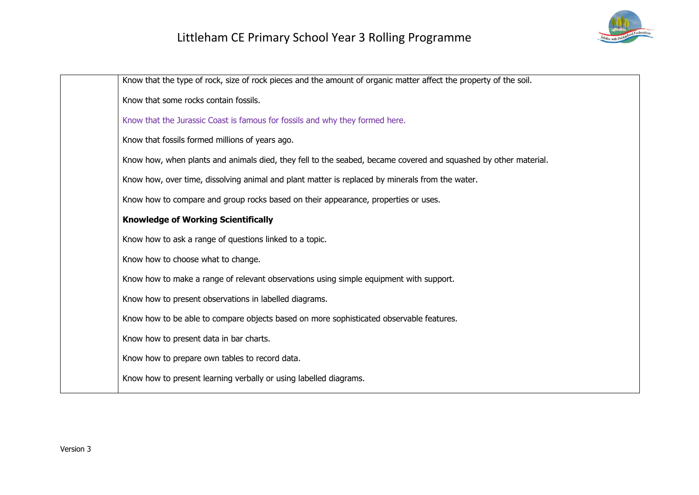

| Know that the type of rock, size of rock pieces and the amount of organic matter affect the property of the soil. |
|-------------------------------------------------------------------------------------------------------------------|
| Know that some rocks contain fossils.                                                                             |
| Know that the Jurassic Coast is famous for fossils and why they formed here.                                      |
| Know that fossils formed millions of years ago.                                                                   |
| Know how, when plants and animals died, they fell to the seabed, became covered and squashed by other material.   |
| Know how, over time, dissolving animal and plant matter is replaced by minerals from the water.                   |
| Know how to compare and group rocks based on their appearance, properties or uses.                                |
| <b>Knowledge of Working Scientifically</b>                                                                        |
| Know how to ask a range of questions linked to a topic.                                                           |
| Know how to choose what to change.                                                                                |
| Know how to make a range of relevant observations using simple equipment with support.                            |
| Know how to present observations in labelled diagrams.                                                            |
| Know how to be able to compare objects based on more sophisticated observable features.                           |
| Know how to present data in bar charts.                                                                           |
| Know how to prepare own tables to record data.                                                                    |
| Know how to present learning verbally or using labelled diagrams.                                                 |
|                                                                                                                   |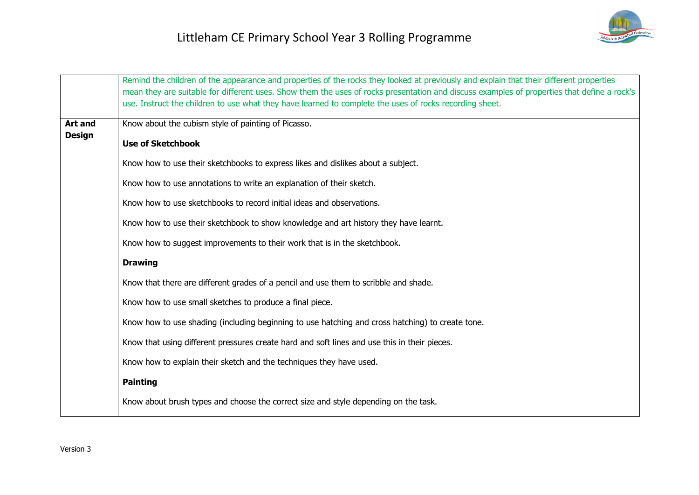

|                | Remind the children of the appearance and properties of the rocks they looked at previously and explain that their different properties<br>mean they are suitable for different uses. Show them the uses of rocks presentation and discuss examples of properties that define a rock's<br>use. Instruct the children to use what they have learned to complete the uses of rocks recording sheet. |
|----------------|---------------------------------------------------------------------------------------------------------------------------------------------------------------------------------------------------------------------------------------------------------------------------------------------------------------------------------------------------------------------------------------------------|
| <b>Art and</b> | Know about the cubism style of painting of Picasso.                                                                                                                                                                                                                                                                                                                                               |
| <b>Design</b>  | <b>Use of Sketchbook</b>                                                                                                                                                                                                                                                                                                                                                                          |
|                | Know how to use their sketchbooks to express likes and dislikes about a subject.                                                                                                                                                                                                                                                                                                                  |
|                | Know how to use annotations to write an explanation of their sketch.                                                                                                                                                                                                                                                                                                                              |
|                | Know how to use sketchbooks to record initial ideas and observations.                                                                                                                                                                                                                                                                                                                             |
|                | Know how to use their sketchbook to show knowledge and art history they have learnt.                                                                                                                                                                                                                                                                                                              |
|                | Know how to suggest improvements to their work that is in the sketchbook.                                                                                                                                                                                                                                                                                                                         |
|                | <b>Drawing</b>                                                                                                                                                                                                                                                                                                                                                                                    |
|                | Know that there are different grades of a pencil and use them to scribble and shade.                                                                                                                                                                                                                                                                                                              |
|                | Know how to use small sketches to produce a final piece.                                                                                                                                                                                                                                                                                                                                          |
|                | Know how to use shading (including beginning to use hatching and cross hatching) to create tone.                                                                                                                                                                                                                                                                                                  |
|                | Know that using different pressures create hard and soft lines and use this in their pieces.                                                                                                                                                                                                                                                                                                      |
|                | Know how to explain their sketch and the techniques they have used.                                                                                                                                                                                                                                                                                                                               |
|                | <b>Painting</b>                                                                                                                                                                                                                                                                                                                                                                                   |
|                | Know about brush types and choose the correct size and style depending on the task.                                                                                                                                                                                                                                                                                                               |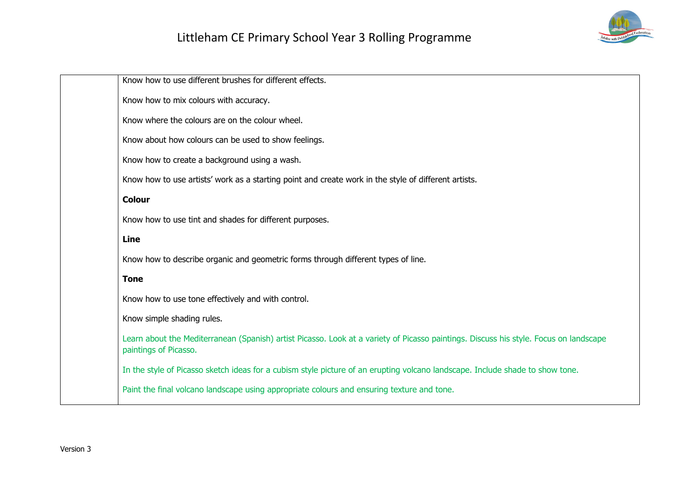

| Know how to use different brushes for different effects.                                                                                                       |
|----------------------------------------------------------------------------------------------------------------------------------------------------------------|
| Know how to mix colours with accuracy.                                                                                                                         |
| Know where the colours are on the colour wheel.                                                                                                                |
| Know about how colours can be used to show feelings.                                                                                                           |
| Know how to create a background using a wash.                                                                                                                  |
| Know how to use artists' work as a starting point and create work in the style of different artists.                                                           |
| <b>Colour</b>                                                                                                                                                  |
| Know how to use tint and shades for different purposes.                                                                                                        |
| Line                                                                                                                                                           |
| Know how to describe organic and geometric forms through different types of line.                                                                              |
| <b>Tone</b>                                                                                                                                                    |
| Know how to use tone effectively and with control.                                                                                                             |
| Know simple shading rules.                                                                                                                                     |
| Learn about the Mediterranean (Spanish) artist Picasso. Look at a variety of Picasso paintings. Discuss his style. Focus on landscape<br>paintings of Picasso. |
| In the style of Picasso sketch ideas for a cubism style picture of an erupting volcano landscape. Include shade to show tone.                                  |
| Paint the final volcano landscape using appropriate colours and ensuring texture and tone.                                                                     |
|                                                                                                                                                                |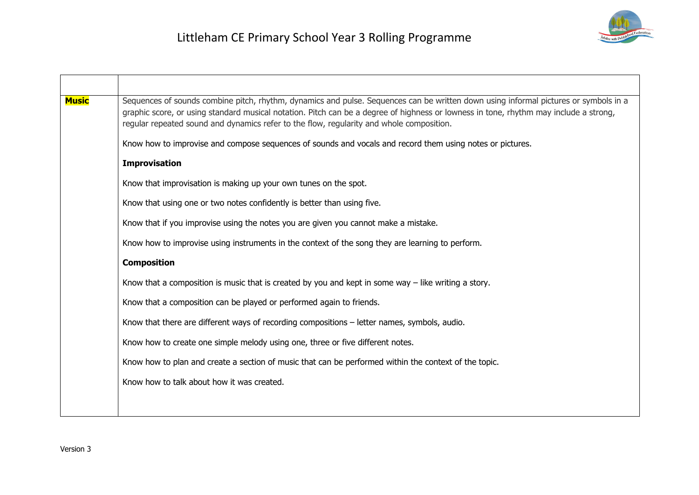

| <b>Music</b> | Sequences of sounds combine pitch, rhythm, dynamics and pulse. Sequences can be written down using informal pictures or symbols in a<br>graphic score, or using standard musical notation. Pitch can be a degree of highness or lowness in tone, rhythm may include a strong,<br>regular repeated sound and dynamics refer to the flow, regularity and whole composition. |
|--------------|---------------------------------------------------------------------------------------------------------------------------------------------------------------------------------------------------------------------------------------------------------------------------------------------------------------------------------------------------------------------------|
|              | Know how to improvise and compose sequences of sounds and vocals and record them using notes or pictures.                                                                                                                                                                                                                                                                 |
|              | <b>Improvisation</b>                                                                                                                                                                                                                                                                                                                                                      |
|              | Know that improvisation is making up your own tunes on the spot.                                                                                                                                                                                                                                                                                                          |
|              | Know that using one or two notes confidently is better than using five.                                                                                                                                                                                                                                                                                                   |
|              | Know that if you improvise using the notes you are given you cannot make a mistake.                                                                                                                                                                                                                                                                                       |
|              | Know how to improvise using instruments in the context of the song they are learning to perform.                                                                                                                                                                                                                                                                          |
|              | <b>Composition</b>                                                                                                                                                                                                                                                                                                                                                        |
|              | Know that a composition is music that is created by you and kept in some way $-$ like writing a story.                                                                                                                                                                                                                                                                    |
|              | Know that a composition can be played or performed again to friends.                                                                                                                                                                                                                                                                                                      |
|              | Know that there are different ways of recording compositions - letter names, symbols, audio.                                                                                                                                                                                                                                                                              |
|              | Know how to create one simple melody using one, three or five different notes.                                                                                                                                                                                                                                                                                            |
|              | Know how to plan and create a section of music that can be performed within the context of the topic.                                                                                                                                                                                                                                                                     |
|              | Know how to talk about how it was created.                                                                                                                                                                                                                                                                                                                                |
|              |                                                                                                                                                                                                                                                                                                                                                                           |
|              |                                                                                                                                                                                                                                                                                                                                                                           |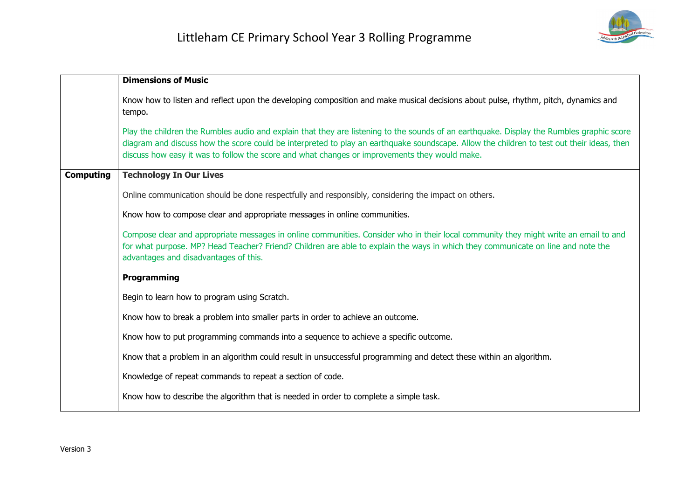

|                  | <b>Dimensions of Music</b>                                                                                                                                                                                                                                                                                                                                                              |
|------------------|-----------------------------------------------------------------------------------------------------------------------------------------------------------------------------------------------------------------------------------------------------------------------------------------------------------------------------------------------------------------------------------------|
|                  | Know how to listen and reflect upon the developing composition and make musical decisions about pulse, rhythm, pitch, dynamics and<br>tempo.                                                                                                                                                                                                                                            |
|                  | Play the children the Rumbles audio and explain that they are listening to the sounds of an earthquake. Display the Rumbles graphic score<br>diagram and discuss how the score could be interpreted to play an earthquake soundscape. Allow the children to test out their ideas, then<br>discuss how easy it was to follow the score and what changes or improvements they would make. |
| <b>Computing</b> | <b>Technology In Our Lives</b>                                                                                                                                                                                                                                                                                                                                                          |
|                  | Online communication should be done respectfully and responsibly, considering the impact on others.                                                                                                                                                                                                                                                                                     |
|                  | Know how to compose clear and appropriate messages in online communities.                                                                                                                                                                                                                                                                                                               |
|                  | Compose clear and appropriate messages in online communities. Consider who in their local community they might write an email to and<br>for what purpose. MP? Head Teacher? Friend? Children are able to explain the ways in which they communicate on line and note the<br>advantages and disadvantages of this.                                                                       |
|                  | <b>Programming</b>                                                                                                                                                                                                                                                                                                                                                                      |
|                  | Begin to learn how to program using Scratch.                                                                                                                                                                                                                                                                                                                                            |
|                  | Know how to break a problem into smaller parts in order to achieve an outcome.                                                                                                                                                                                                                                                                                                          |
|                  | Know how to put programming commands into a sequence to achieve a specific outcome.                                                                                                                                                                                                                                                                                                     |
|                  | Know that a problem in an algorithm could result in unsuccessful programming and detect these within an algorithm.                                                                                                                                                                                                                                                                      |
|                  | Knowledge of repeat commands to repeat a section of code.                                                                                                                                                                                                                                                                                                                               |
|                  | Know how to describe the algorithm that is needed in order to complete a simple task.                                                                                                                                                                                                                                                                                                   |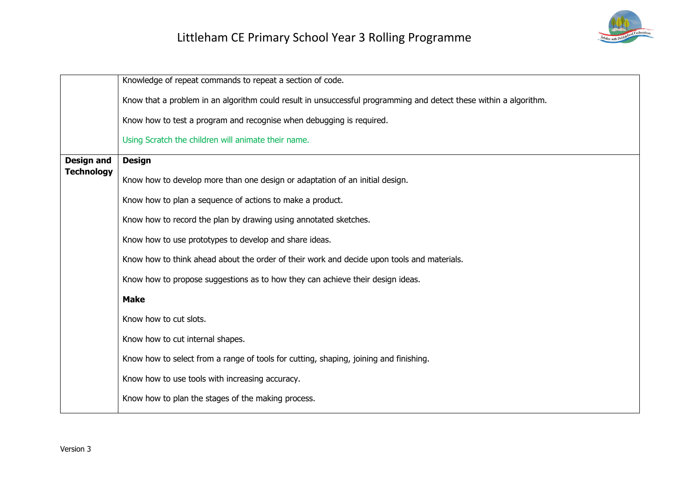

|                                        | Knowledge of repeat commands to repeat a section of code.                                                         |
|----------------------------------------|-------------------------------------------------------------------------------------------------------------------|
|                                        | Know that a problem in an algorithm could result in unsuccessful programming and detect these within a algorithm. |
|                                        | Know how to test a program and recognise when debugging is required.                                              |
|                                        | Using Scratch the children will animate their name.                                                               |
| <b>Design and</b><br><b>Technology</b> | <b>Design</b>                                                                                                     |
|                                        | Know how to develop more than one design or adaptation of an initial design.                                      |
|                                        | Know how to plan a sequence of actions to make a product.                                                         |
|                                        | Know how to record the plan by drawing using annotated sketches.                                                  |
|                                        | Know how to use prototypes to develop and share ideas.                                                            |
|                                        | Know how to think ahead about the order of their work and decide upon tools and materials.                        |
|                                        | Know how to propose suggestions as to how they can achieve their design ideas.                                    |
|                                        | <b>Make</b>                                                                                                       |
|                                        | Know how to cut slots.                                                                                            |
|                                        | Know how to cut internal shapes.                                                                                  |
|                                        | Know how to select from a range of tools for cutting, shaping, joining and finishing.                             |
|                                        | Know how to use tools with increasing accuracy.                                                                   |
|                                        | Know how to plan the stages of the making process.                                                                |
|                                        |                                                                                                                   |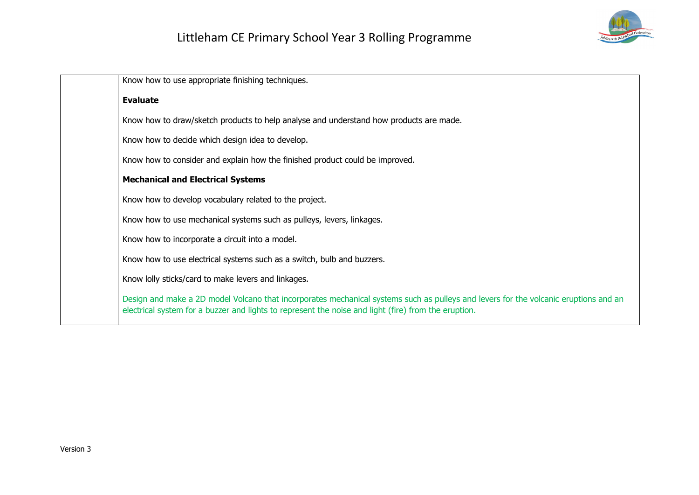

| Know how to use appropriate finishing techniques.                                                                                                                                                                                            |
|----------------------------------------------------------------------------------------------------------------------------------------------------------------------------------------------------------------------------------------------|
| <b>Evaluate</b>                                                                                                                                                                                                                              |
| Know how to draw/sketch products to help analyse and understand how products are made.                                                                                                                                                       |
| Know how to decide which design idea to develop.                                                                                                                                                                                             |
| Know how to consider and explain how the finished product could be improved.                                                                                                                                                                 |
| <b>Mechanical and Electrical Systems</b>                                                                                                                                                                                                     |
| Know how to develop vocabulary related to the project.                                                                                                                                                                                       |
| Know how to use mechanical systems such as pulleys, levers, linkages.                                                                                                                                                                        |
| Know how to incorporate a circuit into a model.                                                                                                                                                                                              |
| Know how to use electrical systems such as a switch, bulb and buzzers.                                                                                                                                                                       |
| Know lolly sticks/card to make levers and linkages.                                                                                                                                                                                          |
| Design and make a 2D model Volcano that incorporates mechanical systems such as pulleys and levers for the volcanic eruptions and an<br>electrical system for a buzzer and lights to represent the noise and light (fire) from the eruption. |
|                                                                                                                                                                                                                                              |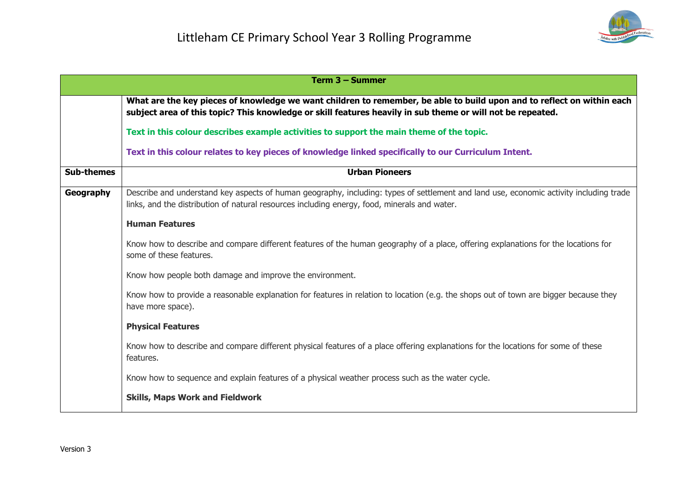

| Term 3 - Summer   |                                                                                                                                                                                                                                        |
|-------------------|----------------------------------------------------------------------------------------------------------------------------------------------------------------------------------------------------------------------------------------|
|                   | What are the key pieces of knowledge we want children to remember, be able to build upon and to reflect on within each<br>subject area of this topic? This knowledge or skill features heavily in sub theme or will not be repeated.   |
|                   | Text in this colour describes example activities to support the main theme of the topic.                                                                                                                                               |
|                   | Text in this colour relates to key pieces of knowledge linked specifically to our Curriculum Intent.                                                                                                                                   |
| <b>Sub-themes</b> | <b>Urban Pioneers</b>                                                                                                                                                                                                                  |
| Geography         | Describe and understand key aspects of human geography, including: types of settlement and land use, economic activity including trade<br>links, and the distribution of natural resources including energy, food, minerals and water. |
|                   | <b>Human Features</b>                                                                                                                                                                                                                  |
|                   | Know how to describe and compare different features of the human geography of a place, offering explanations for the locations for<br>some of these features.                                                                          |
|                   | Know how people both damage and improve the environment.                                                                                                                                                                               |
|                   | Know how to provide a reasonable explanation for features in relation to location (e.g. the shops out of town are bigger because they<br>have more space).                                                                             |
|                   | <b>Physical Features</b>                                                                                                                                                                                                               |
|                   | Know how to describe and compare different physical features of a place offering explanations for the locations for some of these<br>features.                                                                                         |
|                   | Know how to sequence and explain features of a physical weather process such as the water cycle.                                                                                                                                       |
|                   | <b>Skills, Maps Work and Fieldwork</b>                                                                                                                                                                                                 |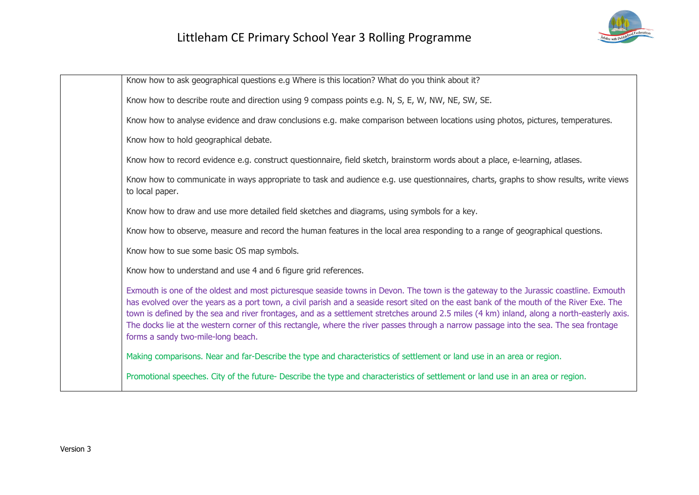

| Know how to ask geographical questions e.g Where is this location? What do you think about it?                                                                                                                                                                                                                                                                                                                                                                                                                                                                                                                |
|---------------------------------------------------------------------------------------------------------------------------------------------------------------------------------------------------------------------------------------------------------------------------------------------------------------------------------------------------------------------------------------------------------------------------------------------------------------------------------------------------------------------------------------------------------------------------------------------------------------|
| Know how to describe route and direction using 9 compass points e.g. N, S, E, W, NW, NE, SW, SE.                                                                                                                                                                                                                                                                                                                                                                                                                                                                                                              |
| Know how to analyse evidence and draw conclusions e.g. make comparison between locations using photos, pictures, temperatures.                                                                                                                                                                                                                                                                                                                                                                                                                                                                                |
| Know how to hold geographical debate.                                                                                                                                                                                                                                                                                                                                                                                                                                                                                                                                                                         |
| Know how to record evidence e.g. construct questionnaire, field sketch, brainstorm words about a place, e-learning, atlases.                                                                                                                                                                                                                                                                                                                                                                                                                                                                                  |
| Know how to communicate in ways appropriate to task and audience e.g. use questionnaires, charts, graphs to show results, write views<br>to local paper.                                                                                                                                                                                                                                                                                                                                                                                                                                                      |
| Know how to draw and use more detailed field sketches and diagrams, using symbols for a key.                                                                                                                                                                                                                                                                                                                                                                                                                                                                                                                  |
| Know how to observe, measure and record the human features in the local area responding to a range of geographical questions.                                                                                                                                                                                                                                                                                                                                                                                                                                                                                 |
| Know how to sue some basic OS map symbols.                                                                                                                                                                                                                                                                                                                                                                                                                                                                                                                                                                    |
| Know how to understand and use 4 and 6 figure grid references.                                                                                                                                                                                                                                                                                                                                                                                                                                                                                                                                                |
| Exmouth is one of the oldest and most picturesque seaside towns in Devon. The town is the gateway to the Jurassic coastline. Exmouth<br>has evolved over the years as a port town, a civil parish and a seaside resort sited on the east bank of the mouth of the River Exe. The<br>town is defined by the sea and river frontages, and as a settlement stretches around 2.5 miles (4 km) inland, along a north-easterly axis.<br>The docks lie at the western corner of this rectangle, where the river passes through a narrow passage into the sea. The sea frontage<br>forms a sandy two-mile-long beach. |
| Making comparisons. Near and far-Describe the type and characteristics of settlement or land use in an area or region.                                                                                                                                                                                                                                                                                                                                                                                                                                                                                        |
| Promotional speeches. City of the future- Describe the type and characteristics of settlement or land use in an area or region.                                                                                                                                                                                                                                                                                                                                                                                                                                                                               |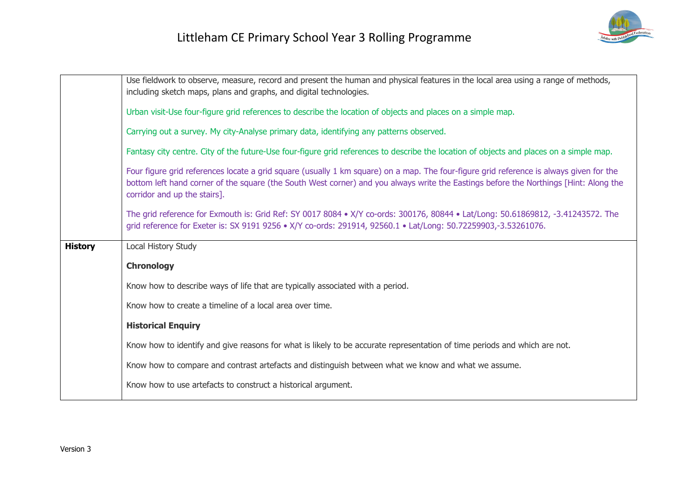|                | Use fieldwork to observe, measure, record and present the human and physical features in the local area using a range of methods,                                                                                                                                                                                |
|----------------|------------------------------------------------------------------------------------------------------------------------------------------------------------------------------------------------------------------------------------------------------------------------------------------------------------------|
|                | including sketch maps, plans and graphs, and digital technologies.                                                                                                                                                                                                                                               |
|                | Urban visit-Use four-figure grid references to describe the location of objects and places on a simple map.                                                                                                                                                                                                      |
|                | Carrying out a survey. My city-Analyse primary data, identifying any patterns observed.                                                                                                                                                                                                                          |
|                | Fantasy city centre. City of the future-Use four-figure grid references to describe the location of objects and places on a simple map.                                                                                                                                                                          |
|                | Four figure grid references locate a grid square (usually 1 km square) on a map. The four-figure grid reference is always given for the<br>bottom left hand corner of the square (the South West corner) and you always write the Eastings before the Northings [Hint: Along the<br>corridor and up the stairs]. |
|                | The grid reference for Exmouth is: Grid Ref: SY 0017 8084 • X/Y co-ords: 300176, 80844 • Lat/Long: 50.61869812, -3.41243572. The<br>grid reference for Exeter is: SX 9191 9256 • X/Y co-ords: 291914, 92560.1 • Lat/Long: 50.72259903,-3.53261076.                                                               |
|                |                                                                                                                                                                                                                                                                                                                  |
| <b>History</b> | Local History Study                                                                                                                                                                                                                                                                                              |
|                | <b>Chronology</b>                                                                                                                                                                                                                                                                                                |
|                | Know how to describe ways of life that are typically associated with a period.                                                                                                                                                                                                                                   |
|                | Know how to create a timeline of a local area over time.                                                                                                                                                                                                                                                         |
|                | <b>Historical Enquiry</b>                                                                                                                                                                                                                                                                                        |
|                | Know how to identify and give reasons for what is likely to be accurate representation of time periods and which are not.                                                                                                                                                                                        |
|                | Know how to compare and contrast artefacts and distinguish between what we know and what we assume.                                                                                                                                                                                                              |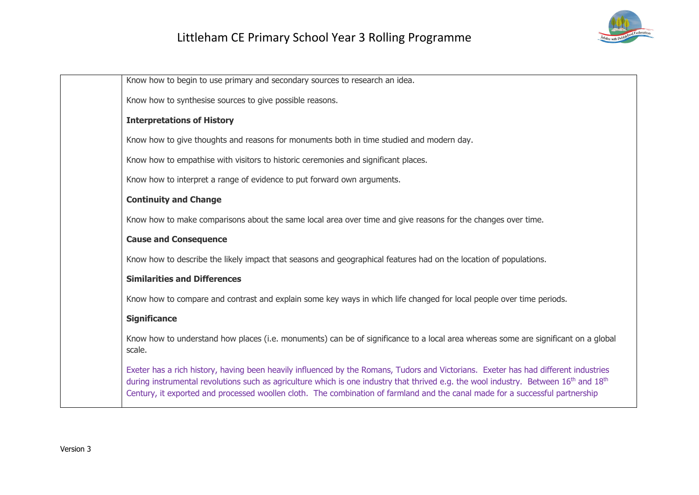

| Know how to begin to use primary and secondary sources to research an idea.                                                                                                                                                                                                                                                                                                                                                          |
|--------------------------------------------------------------------------------------------------------------------------------------------------------------------------------------------------------------------------------------------------------------------------------------------------------------------------------------------------------------------------------------------------------------------------------------|
| Know how to synthesise sources to give possible reasons.                                                                                                                                                                                                                                                                                                                                                                             |
| <b>Interpretations of History</b>                                                                                                                                                                                                                                                                                                                                                                                                    |
| Know how to give thoughts and reasons for monuments both in time studied and modern day.                                                                                                                                                                                                                                                                                                                                             |
| Know how to empathise with visitors to historic ceremonies and significant places.                                                                                                                                                                                                                                                                                                                                                   |
| Know how to interpret a range of evidence to put forward own arguments.                                                                                                                                                                                                                                                                                                                                                              |
| <b>Continuity and Change</b>                                                                                                                                                                                                                                                                                                                                                                                                         |
| Know how to make comparisons about the same local area over time and give reasons for the changes over time.                                                                                                                                                                                                                                                                                                                         |
| <b>Cause and Consequence</b>                                                                                                                                                                                                                                                                                                                                                                                                         |
| Know how to describe the likely impact that seasons and geographical features had on the location of populations.                                                                                                                                                                                                                                                                                                                    |
| <b>Similarities and Differences</b>                                                                                                                                                                                                                                                                                                                                                                                                  |
| Know how to compare and contrast and explain some key ways in which life changed for local people over time periods.                                                                                                                                                                                                                                                                                                                 |
| <b>Significance</b>                                                                                                                                                                                                                                                                                                                                                                                                                  |
| Know how to understand how places (i.e. monuments) can be of significance to a local area whereas some are significant on a global<br>scale.                                                                                                                                                                                                                                                                                         |
| Exeter has a rich history, having been heavily influenced by the Romans, Tudors and Victorians. Exeter has had different industries<br>during instrumental revolutions such as agriculture which is one industry that thrived e.g. the wool industry. Between 16 <sup>th</sup> and 18 <sup>th</sup><br>Century, it exported and processed woollen cloth. The combination of farmland and the canal made for a successful partnership |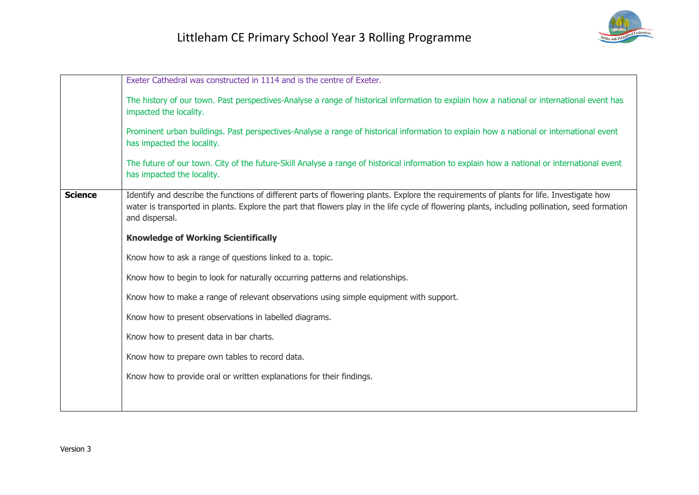

|                | Exeter Cathedral was constructed in 1114 and is the centre of Exeter.                                                                                                                                                                                                                                         |
|----------------|---------------------------------------------------------------------------------------------------------------------------------------------------------------------------------------------------------------------------------------------------------------------------------------------------------------|
|                | The history of our town. Past perspectives-Analyse a range of historical information to explain how a national or international event has<br>impacted the locality.                                                                                                                                           |
|                | Prominent urban buildings. Past perspectives-Analyse a range of historical information to explain how a national or international event<br>has impacted the locality.                                                                                                                                         |
|                | The future of our town. City of the future-Skill Analyse a range of historical information to explain how a national or international event<br>has impacted the locality.                                                                                                                                     |
| <b>Science</b> | Identify and describe the functions of different parts of flowering plants. Explore the requirements of plants for life. Investigate how<br>water is transported in plants. Explore the part that flowers play in the life cycle of flowering plants, including pollination, seed formation<br>and dispersal. |
|                | <b>Knowledge of Working Scientifically</b>                                                                                                                                                                                                                                                                    |
|                | Know how to ask a range of questions linked to a. topic.                                                                                                                                                                                                                                                      |
|                | Know how to begin to look for naturally occurring patterns and relationships.                                                                                                                                                                                                                                 |
|                | Know how to make a range of relevant observations using simple equipment with support.                                                                                                                                                                                                                        |
|                | Know how to present observations in labelled diagrams.                                                                                                                                                                                                                                                        |
|                | Know how to present data in bar charts.                                                                                                                                                                                                                                                                       |
|                | Know how to prepare own tables to record data.                                                                                                                                                                                                                                                                |
|                | Know how to provide oral or written explanations for their findings.                                                                                                                                                                                                                                          |
|                |                                                                                                                                                                                                                                                                                                               |
|                |                                                                                                                                                                                                                                                                                                               |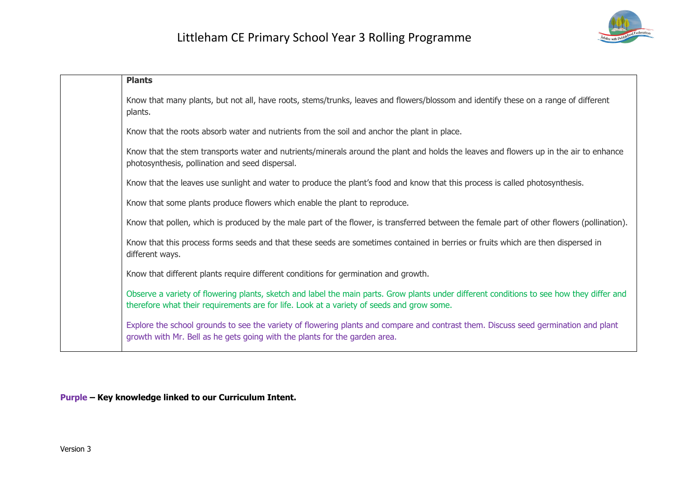

| <b>Plants</b>                                                                                                                                                                                                                          |
|----------------------------------------------------------------------------------------------------------------------------------------------------------------------------------------------------------------------------------------|
| Know that many plants, but not all, have roots, stems/trunks, leaves and flowers/blossom and identify these on a range of different<br>plants.                                                                                         |
| Know that the roots absorb water and nutrients from the soil and anchor the plant in place.                                                                                                                                            |
| Know that the stem transports water and nutrients/minerals around the plant and holds the leaves and flowers up in the air to enhance<br>photosynthesis, pollination and seed dispersal.                                               |
| Know that the leaves use sunlight and water to produce the plant's food and know that this process is called photosynthesis.                                                                                                           |
| Know that some plants produce flowers which enable the plant to reproduce.                                                                                                                                                             |
| Know that pollen, which is produced by the male part of the flower, is transferred between the female part of other flowers (pollination).                                                                                             |
| Know that this process forms seeds and that these seeds are sometimes contained in berries or fruits which are then dispersed in<br>different ways.                                                                                    |
| Know that different plants require different conditions for germination and growth.                                                                                                                                                    |
| Observe a variety of flowering plants, sketch and label the main parts. Grow plants under different conditions to see how they differ and<br>therefore what their requirements are for life. Look at a variety of seeds and grow some. |
| Explore the school grounds to see the variety of flowering plants and compare and contrast them. Discuss seed germination and plant<br>growth with Mr. Bell as he gets going with the plants for the garden area.                      |

**Purple – Key knowledge linked to our Curriculum Intent.**